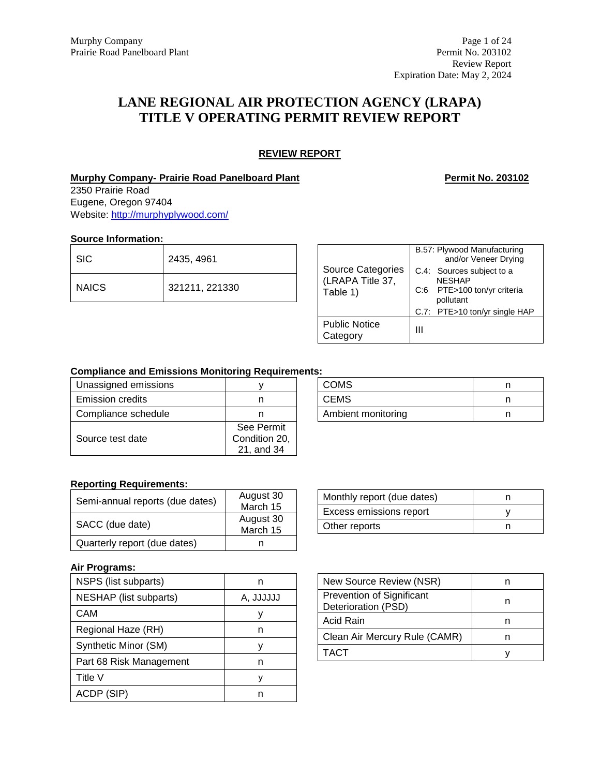# **LANE REGIONAL AIR PROTECTION AGENCY (LRAPA) TITLE V OPERATING PERMIT REVIEW REPORT**

# **REVIEW REPORT**

# **Murphy Company- Prairie Road Panelboard Plant Permit No. 203102**

2350 Prairie Road Eugene, Oregon 97404 Website:<http://murphyplywood.com/>

## **Source Information:**

| l SIC.  | 2435, 4961     |
|---------|----------------|
| I NAICS | 321211, 221330 |

| Source Categories<br>(LRAPA Title 37,<br>Table 1) | B.57: Plywood Manufacturing<br>and/or Veneer Drying |  |  |  |
|---------------------------------------------------|-----------------------------------------------------|--|--|--|
|                                                   | C.4: Sources subject to a<br><b>NFSHAP</b>          |  |  |  |
|                                                   | C:6 PTE>100 ton/yr criteria<br>pollutant            |  |  |  |
|                                                   | C.7: PTE>10 ton/yr single HAP                       |  |  |  |
| <b>Public Notice</b><br>Category                  | Ш                                                   |  |  |  |

# **Compliance and Emissions Monitoring Requirements:**

| Unassigned emissions    |               |
|-------------------------|---------------|
| <b>Emission credits</b> |               |
| Compliance schedule     | n             |
|                         | See Permit    |
| Source test date        | Condition 20, |
|                         | 21, and 34    |

| <b>COMS</b>        |  |
|--------------------|--|
| <b>CEMS</b>        |  |
| Ambient monitoring |  |

# **Reporting Requirements:**

| Semi-annual reports (due dates) | August 30<br>March 15 |
|---------------------------------|-----------------------|
| SACC (due date)                 | August 30<br>March 15 |
| Quarterly report (due dates)    |                       |

### **Air Programs:**

| NSPS (list subparts)    | n         |
|-------------------------|-----------|
| NESHAP (list subparts)  | A. JJJJJJ |
| CAM                     | ν         |
| Regional Haze (RH)      | n         |
| Synthetic Minor (SM)    | ν         |
| Part 68 Risk Management | n         |
| Title V                 | ν         |
| ACDP (SIP)              |           |

| Monthly report (due dates) |  |
|----------------------------|--|
| Excess emissions report    |  |
| Other reports              |  |

| New Source Review (NSR)                          |  |
|--------------------------------------------------|--|
| Prevention of Significant<br>Deterioration (PSD) |  |
| Acid Rain                                        |  |
| Clean Air Mercury Rule (CAMR)                    |  |
| <b>TACT</b>                                      |  |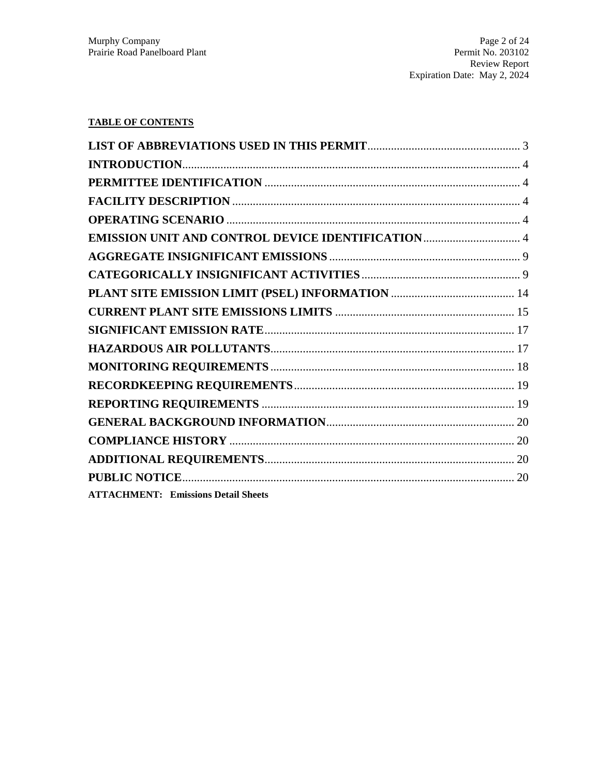# **TABLE OF CONTENTS**

| <b>ATTACHMENT: Emissions Detail Sheets</b> |  |
|--------------------------------------------|--|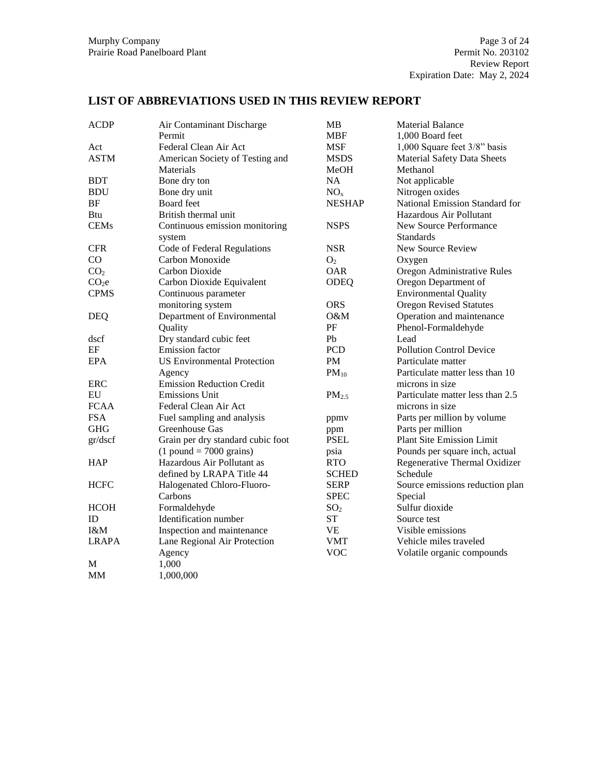# **LIST OF ABBREVIATIONS USED IN THIS REVIEW REPORT**

| <b>ACDP</b>       | Air Contaminant Discharge          | MB                | <b>Material Balance</b>            |
|-------------------|------------------------------------|-------------------|------------------------------------|
|                   | Permit                             | <b>MBF</b>        | 1,000 Board feet                   |
| Act               | Federal Clean Air Act              | <b>MSF</b>        | 1,000 Square feet 3/8" basis       |
| <b>ASTM</b>       | American Society of Testing and    | <b>MSDS</b>       | <b>Material Safety Data Sheets</b> |
|                   | Materials                          | MeOH              | Methanol                           |
| <b>BDT</b>        | Bone dry ton                       | <b>NA</b>         | Not applicable                     |
| <b>BDU</b>        | Bone dry unit                      | NO <sub>x</sub>   | Nitrogen oxides                    |
| BF                | Board feet                         | <b>NESHAP</b>     | National Emission Standard for     |
| Btu               | British thermal unit               |                   | Hazardous Air Pollutant            |
| <b>CEMs</b>       | Continuous emission monitoring     | <b>NSPS</b>       | New Source Performance             |
|                   | system                             |                   | <b>Standards</b>                   |
| <b>CFR</b>        | Code of Federal Regulations        | <b>NSR</b>        | New Source Review                  |
| CO                | Carbon Monoxide                    | O <sub>2</sub>    | Oxygen                             |
| CO <sub>2</sub>   | Carbon Dioxide                     | <b>OAR</b>        | Oregon Administrative Rules        |
| CO <sub>2</sub> e | Carbon Dioxide Equivalent          | ODEQ              | Oregon Department of               |
| <b>CPMS</b>       | Continuous parameter               |                   | <b>Environmental Quality</b>       |
|                   | monitoring system                  | <b>ORS</b>        | <b>Oregon Revised Statutes</b>     |
| <b>DEQ</b>        | Department of Environmental        | O&M               | Operation and maintenance          |
|                   | Quality                            | $\rm PF$          | Phenol-Formaldehyde                |
| dscf              | Dry standard cubic feet            | Pb                | Lead                               |
| EF                | <b>Emission</b> factor             | PCD               | <b>Pollution Control Device</b>    |
| <b>EPA</b>        | <b>US Environmental Protection</b> | PM                | Particulate matter                 |
|                   | Agency                             | $PM_{10}$         | Particulate matter less than 10    |
| ERC               | <b>Emission Reduction Credit</b>   |                   | microns in size                    |
| EU                | <b>Emissions Unit</b>              | PM <sub>2.5</sub> | Particulate matter less than 2.5   |
| <b>FCAA</b>       | Federal Clean Air Act              |                   | microns in size                    |
| <b>FSA</b>        | Fuel sampling and analysis         | ppmv              | Parts per million by volume        |
| <b>GHG</b>        | Greenhouse Gas                     | ppm               | Parts per million                  |
| gr/dscf           | Grain per dry standard cubic foot  | <b>PSEL</b>       | <b>Plant Site Emission Limit</b>   |
|                   | $(1$ pound = 7000 grains)          | psia              | Pounds per square inch, actual     |
| <b>HAP</b>        | Hazardous Air Pollutant as         | <b>RTO</b>        | Regenerative Thermal Oxidizer      |
|                   | defined by LRAPA Title 44          | <b>SCHED</b>      | Schedule                           |
| <b>HCFC</b>       | Halogenated Chloro-Fluoro-         | <b>SERP</b>       | Source emissions reduction plan    |
|                   | Carbons                            | <b>SPEC</b>       | Special                            |
| <b>HCOH</b>       | Formaldehyde                       | SO <sub>2</sub>   | Sulfur dioxide                     |
| ID                | Identification number              | ST                | Source test                        |
| I&M               | Inspection and maintenance         | <b>VE</b>         | Visible emissions                  |
| <b>LRAPA</b>      | Lane Regional Air Protection       | <b>VMT</b>        | Vehicle miles traveled             |
|                   | Agency                             | <b>VOC</b>        | Volatile organic compounds         |
| M                 | 1,000                              |                   |                                    |
| MM                | 1,000,000                          |                   |                                    |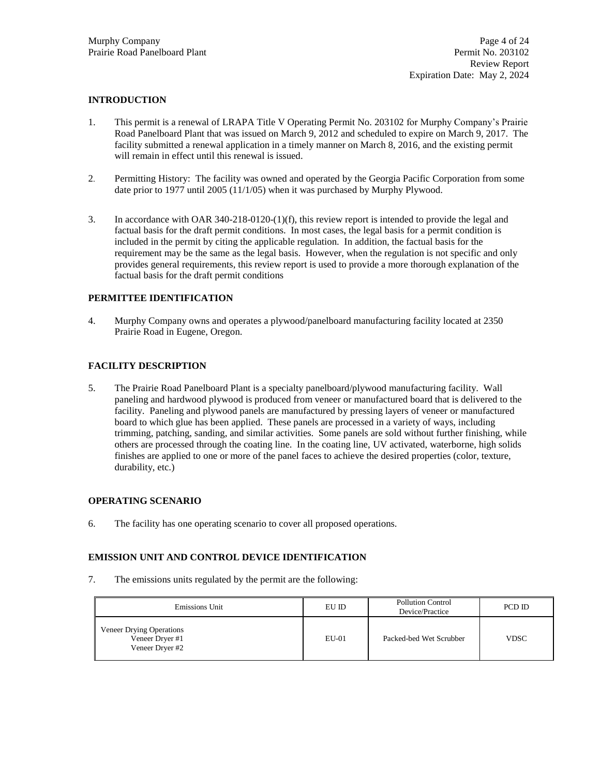## **INTRODUCTION**

- 1. This permit is a renewal of LRAPA Title V Operating Permit No. 203102 for Murphy Company's Prairie Road Panelboard Plant that was issued on March 9, 2012 and scheduled to expire on March 9, 2017. The facility submitted a renewal application in a timely manner on March 8, 2016, and the existing permit will remain in effect until this renewal is issued.
- 2. Permitting History: The facility was owned and operated by the Georgia Pacific Corporation from some date prior to 1977 until 2005 (11/1/05) when it was purchased by Murphy Plywood.
- 3. In accordance with OAR 340-218-0120-(1)(f), this review report is intended to provide the legal and factual basis for the draft permit conditions. In most cases, the legal basis for a permit condition is included in the permit by citing the applicable regulation. In addition, the factual basis for the requirement may be the same as the legal basis. However, when the regulation is not specific and only provides general requirements, this review report is used to provide a more thorough explanation of the factual basis for the draft permit conditions

### **PERMITTEE IDENTIFICATION**

4. Murphy Company owns and operates a plywood/panelboard manufacturing facility located at 2350 Prairie Road in Eugene, Oregon.

## **FACILITY DESCRIPTION**

5. The Prairie Road Panelboard Plant is a specialty panelboard/plywood manufacturing facility. Wall paneling and hardwood plywood is produced from veneer or manufactured board that is delivered to the facility. Paneling and plywood panels are manufactured by pressing layers of veneer or manufactured board to which glue has been applied. These panels are processed in a variety of ways, including trimming, patching, sanding, and similar activities. Some panels are sold without further finishing, while others are processed through the coating line. In the coating line, UV activated, waterborne, high solids finishes are applied to one or more of the panel faces to achieve the desired properties (color, texture, durability, etc.)

## **OPERATING SCENARIO**

6. The facility has one operating scenario to cover all proposed operations.

## **EMISSION UNIT AND CONTROL DEVICE IDENTIFICATION**

7. The emissions units regulated by the permit are the following:

| Emissions Unit                                                 | EU ID   | <b>Pollution Control</b><br>Device/Practice | PCD ID      |
|----------------------------------------------------------------|---------|---------------------------------------------|-------------|
| Veneer Drying Operations<br>Veneer Dryer #1<br>Veneer Dryer #2 | $EU-01$ | Packed-bed Wet Scrubber                     | <b>VDSC</b> |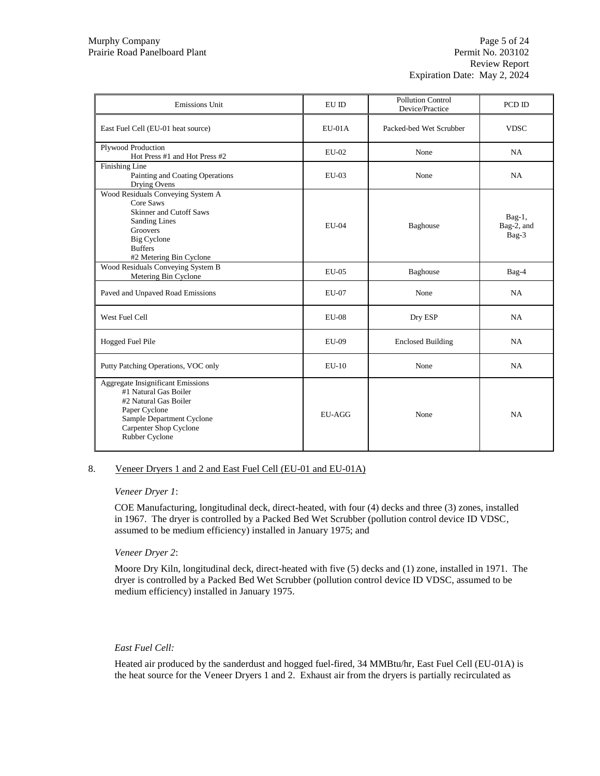| <b>Emissions Unit</b>                                                                                                                                                         | EU ID        | <b>Pollution Control</b><br>Device/Practice | PCD ID                           |
|-------------------------------------------------------------------------------------------------------------------------------------------------------------------------------|--------------|---------------------------------------------|----------------------------------|
| East Fuel Cell (EU-01 heat source)                                                                                                                                            | $EU-01A$     | Packed-bed Wet Scrubber                     | <b>VDSC</b>                      |
| Plywood Production<br>Hot Press #1 and Hot Press #2                                                                                                                           | $EU-02$      | None                                        | NA                               |
| Finishing Line<br>Painting and Coating Operations<br>Drying Ovens                                                                                                             | $EU-03$      | None                                        | NA                               |
| Wood Residuals Conveying System A<br>Core Saws<br>Skinner and Cutoff Saws<br><b>Sanding Lines</b><br>Groovers<br>Big Cyclone<br><b>Buffers</b><br>#2 Metering Bin Cyclone     | EU-04        | Baghouse                                    | $Bag-1$ ,<br>Bag-2, and<br>Bag-3 |
| Wood Residuals Conveying System B<br>Metering Bin Cyclone                                                                                                                     | $EU-05$      | Baghouse                                    | Bag-4                            |
| Paved and Unpaved Road Emissions                                                                                                                                              | <b>EU-07</b> | None                                        | NA                               |
| West Fuel Cell                                                                                                                                                                | $EU-08$      | Dry ESP                                     | <b>NA</b>                        |
| Hogged Fuel Pile                                                                                                                                                              | EU-09        | <b>Enclosed Building</b>                    | NA                               |
| Putty Patching Operations, VOC only                                                                                                                                           | $EU-10$      | None                                        | <b>NA</b>                        |
| Aggregate Insignificant Emissions<br>#1 Natural Gas Boiler<br>#2 Natural Gas Boiler<br>Paper Cyclone<br>Sample Department Cyclone<br>Carpenter Shop Cyclone<br>Rubber Cyclone | EU-AGG       | None                                        | <b>NA</b>                        |

#### 8. Veneer Dryers 1 and 2 and East Fuel Cell (EU-01 and EU-01A)

#### *Veneer Dryer 1*:

COE Manufacturing, longitudinal deck, direct-heated, with four (4) decks and three (3) zones, installed in 1967. The dryer is controlled by a Packed Bed Wet Scrubber (pollution control device ID VDSC, assumed to be medium efficiency) installed in January 1975; and

### *Veneer Dryer 2*:

Moore Dry Kiln, longitudinal deck, direct-heated with five (5) decks and (1) zone, installed in 1971. The dryer is controlled by a Packed Bed Wet Scrubber (pollution control device ID VDSC, assumed to be medium efficiency) installed in January 1975.

#### *East Fuel Cell:*

Heated air produced by the sanderdust and hogged fuel-fired, 34 MMBtu/hr, East Fuel Cell (EU-01A) is the heat source for the Veneer Dryers 1 and 2. Exhaust air from the dryers is partially recirculated as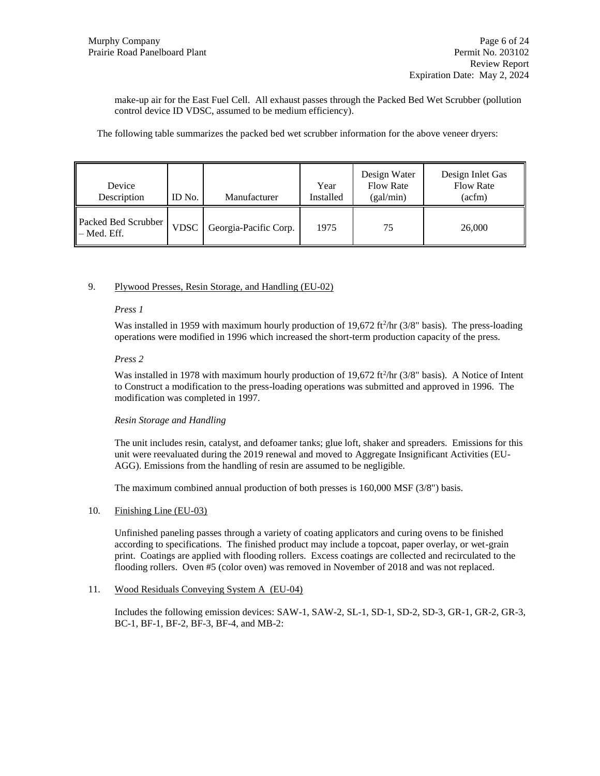make-up air for the East Fuel Cell. All exhaust passes through the Packed Bed Wet Scrubber (pollution control device ID VDSC, assumed to be medium efficiency).

The following table summarizes the packed bed wet scrubber information for the above veneer dryers:

| Device<br>Description                             | ID No.      | Manufacturer          | Year<br>Installed | Design Water<br><b>Flow Rate</b><br>(gal/min) | Design Inlet Gas<br><b>Flow Rate</b><br>(acfm) |
|---------------------------------------------------|-------------|-----------------------|-------------------|-----------------------------------------------|------------------------------------------------|
| Packed Bed Scrubber<br>$\blacksquare$ - Med. Eff. | <b>VDSC</b> | Georgia-Pacific Corp. | 1975              | 75                                            | 26,000                                         |

### 9. Plywood Presses, Resin Storage, and Handling (EU-02)

#### *Press 1*

Was installed in 1959 with maximum hourly production of 19,672 ft<sup>2</sup>/hr (3/8" basis). The press-loading operations were modified in 1996 which increased the short-term production capacity of the press.

### *Press 2*

Was installed in 1978 with maximum hourly production of 19,672 ft<sup>2</sup>/hr (3/8" basis). A Notice of Intent to Construct a modification to the press-loading operations was submitted and approved in 1996. The modification was completed in 1997.

### *Resin Storage and Handling*

The unit includes resin, catalyst, and defoamer tanks; glue loft, shaker and spreaders. Emissions for this unit were reevaluated during the 2019 renewal and moved to Aggregate Insignificant Activities (EU-AGG). Emissions from the handling of resin are assumed to be negligible.

The maximum combined annual production of both presses is 160,000 MSF (3/8") basis.

### 10. Finishing Line (EU-03)

Unfinished paneling passes through a variety of coating applicators and curing ovens to be finished according to specifications. The finished product may include a topcoat, paper overlay, or wet-grain print. Coatings are applied with flooding rollers. Excess coatings are collected and recirculated to the flooding rollers. Oven #5 (color oven) was removed in November of 2018 and was not replaced.

### 11. Wood Residuals Conveying System A (EU-04)

Includes the following emission devices: SAW-1, SAW-2, SL-1, SD-1, SD-2, SD-3, GR-1, GR-2, GR-3, BC-1, BF-1, BF-2, BF-3, BF-4, and MB-2: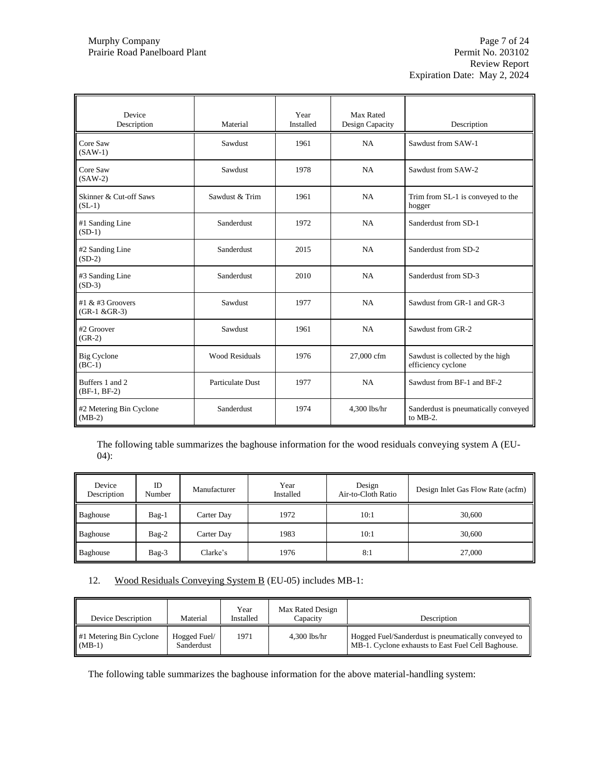| Device<br>Description                 | Material                | Year<br>Installed | Max Rated<br>Design Capacity | Description                                            |
|---------------------------------------|-------------------------|-------------------|------------------------------|--------------------------------------------------------|
| Core Saw<br>$(SAW-1)$                 | Sawdust                 | 1961              | NA                           | Sawdust from SAW-1                                     |
| Core Saw<br>$(SAW-2)$                 | Sawdust                 | 1978              | NA                           | Sawdust from SAW-2                                     |
| Skinner & Cut-off Saws<br>$(SL-1)$    | Sawdust & Trim          | 1961              | NA                           | Trim from SL-1 is conveyed to the<br>hogger            |
| #1 Sanding Line<br>$(SD-1)$           | Sanderdust              | 1972              | <b>NA</b>                    | Sanderdust from SD-1                                   |
| #2 Sanding Line<br>$(SD-2)$           | Sanderdust              | 2015              | NA                           | Sanderdust from SD-2                                   |
| #3 Sanding Line<br>$(SD-3)$           | Sanderdust              | 2010              | <b>NA</b>                    | Sanderdust from SD-3                                   |
| #1 $&$ #3 Groovers<br>$(GR-1 & GR-3)$ | Sawdust                 | 1977              | NA                           | Sawdust from GR-1 and GR-3                             |
| #2 Groover<br>$(GR-2)$                | Sawdust                 | 1961              | NA                           | Sawdust from GR-2                                      |
| Big Cyclone<br>$(BC-1)$               | <b>Wood Residuals</b>   | 1976              | 27,000 cfm                   | Sawdust is collected by the high<br>efficiency cyclone |
| Buffers 1 and 2<br>$(BF-1, BF-2)$     | <b>Particulate Dust</b> | 1977              | NA                           | Sawdust from BF-1 and BF-2                             |
| #2 Metering Bin Cyclone<br>$(MB-2)$   | Sanderdust              | 1974              | 4,300 lbs/hr                 | Sanderdust is pneumatically conveyed<br>to MB-2.       |

The following table summarizes the baghouse information for the wood residuals conveying system A (EU-04):

| Device<br>Description | ID<br>Number | Manufacturer | Year<br>Installed | Design<br>Air-to-Cloth Ratio | Design Inlet Gas Flow Rate (acfm) |
|-----------------------|--------------|--------------|-------------------|------------------------------|-----------------------------------|
| Baghouse              | $Bag-1$      | Carter Day   | 1972              | 10:1                         | 30,600                            |
| Baghouse              | $Bag-2$      | Carter Day   | 1983              | 10:1                         | 30,600                            |
| Baghouse              | $Bag-3$      | Clarke's     | 1976              | 8:1                          | 27,000                            |

12. Wood Residuals Conveying System B (EU-05) includes MB-1:

| Device Description                              | Material                   | Year<br>Installed | Max Rated Design<br>Capacity | Description                                                                                               |
|-------------------------------------------------|----------------------------|-------------------|------------------------------|-----------------------------------------------------------------------------------------------------------|
| $\parallel$ #1 Metering Bin Cyclone<br>$(MB-1)$ | Hogged Fuel/<br>Sanderdust | 1971              | $4.300$ lbs/hr               | Hogged Fuel/Sanderdust is pneumatically conveyed to<br>MB-1. Cyclone exhausts to East Fuel Cell Baghouse. |

The following table summarizes the baghouse information for the above material-handling system: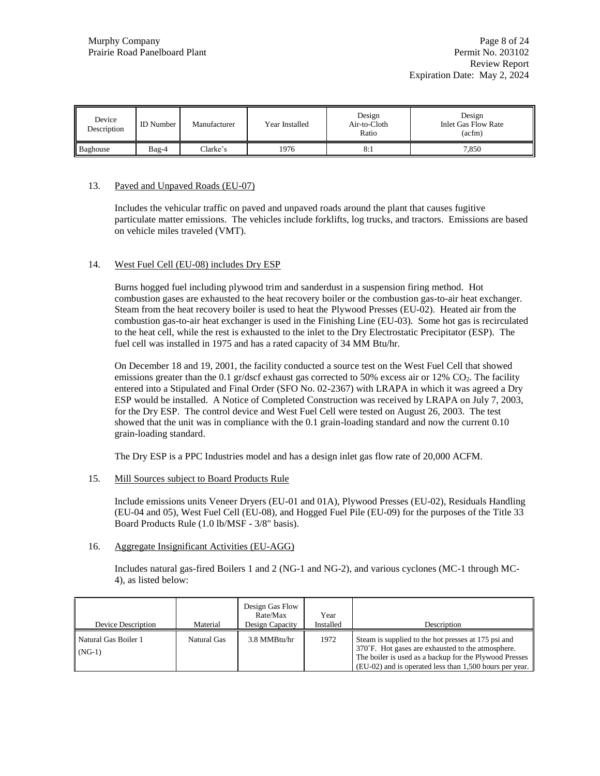| Device<br>Description | <b>ID</b> Number | Manufacturer | Year Installed | Design<br>Air-to-Cloth<br>Ratio | Design<br><b>Inlet Gas Flow Rate</b><br>$(\text{acfm})$ |
|-----------------------|------------------|--------------|----------------|---------------------------------|---------------------------------------------------------|
| Baghouse              | $Bag-4$          | Clarke's     | 1976           | 8:1                             | 7.850                                                   |

## 13. Paved and Unpaved Roads (EU-07)

Includes the vehicular traffic on paved and unpaved roads around the plant that causes fugitive particulate matter emissions. The vehicles include forklifts, log trucks, and tractors. Emissions are based on vehicle miles traveled (VMT).

### 14. West Fuel Cell (EU-08) includes Dry ESP

Burns hogged fuel including plywood trim and sanderdust in a suspension firing method. Hot combustion gases are exhausted to the heat recovery boiler or the combustion gas-to-air heat exchanger. Steam from the heat recovery boiler is used to heat the Plywood Presses (EU-02). Heated air from the combustion gas-to-air heat exchanger is used in the Finishing Line (EU-03). Some hot gas is recirculated to the heat cell, while the rest is exhausted to the inlet to the Dry Electrostatic Precipitator (ESP). The fuel cell was installed in 1975 and has a rated capacity of 34 MM Btu/hr.

On December 18 and 19, 2001, the facility conducted a source test on the West Fuel Cell that showed emissions greater than the 0.1 gr/dscf exhaust gas corrected to 50% excess air or 12% CO<sub>2</sub>. The facility entered into a Stipulated and Final Order (SFO No. 02-2367) with LRAPA in which it was agreed a Dry ESP would be installed. A Notice of Completed Construction was received by LRAPA on July 7, 2003, for the Dry ESP. The control device and West Fuel Cell were tested on August 26, 2003. The test showed that the unit was in compliance with the 0.1 grain-loading standard and now the current 0.10 grain-loading standard.

The Dry ESP is a PPC Industries model and has a design inlet gas flow rate of 20,000 ACFM.

### 15. Mill Sources subject to Board Products Rule

Include emissions units Veneer Dryers (EU-01 and 01A), Plywood Presses (EU-02), Residuals Handling (EU-04 and 05), West Fuel Cell (EU-08), and Hogged Fuel Pile (EU-09) for the purposes of the Title 33 Board Products Rule (1.0 lb/MSF - 3/8" basis).

### 16. Aggregate Insignificant Activities (EU-AGG)

Includes natural gas-fired Boilers 1 and 2 (NG-1 and NG-2), and various cyclones (MC-1 through MC-4), as listed below:

| Device Description               | Material    | Design Gas Flow<br>Rate/Max<br>Design Capacity | Year<br>Installed | Description                                                                                                                                                                                                                   |
|----------------------------------|-------------|------------------------------------------------|-------------------|-------------------------------------------------------------------------------------------------------------------------------------------------------------------------------------------------------------------------------|
| Natural Gas Boiler 1<br>$(NG-1)$ | Natural Gas | 3.8 MMBtu/hr                                   | 1972              | Steam is supplied to the hot presses at 175 psi and<br>370°F. Hot gases are exhausted to the atmosphere.<br>The boiler is used as a backup for the Plywood Presses<br>(EU-02) and is operated less than 1,500 hours per year. |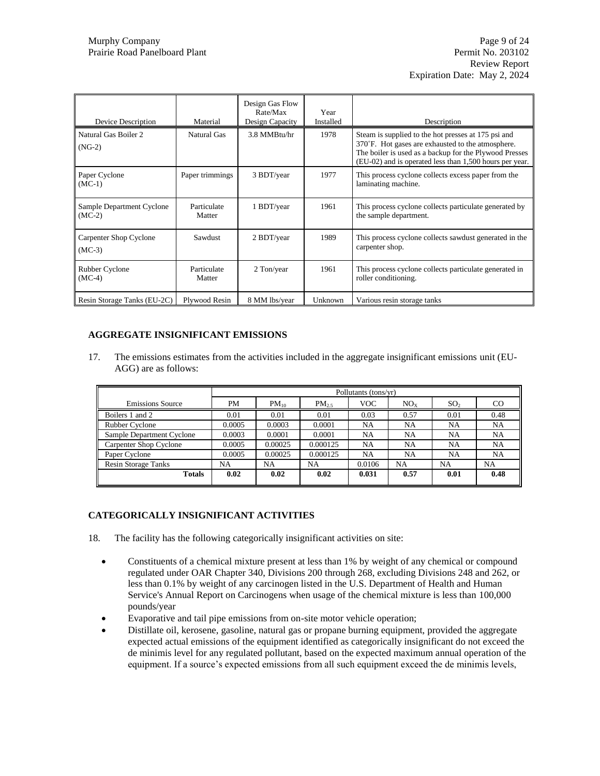| Device Description                        | Material              | Design Gas Flow<br>Rate/Max<br>Design Capacity | Year<br>Installed | Description                                                                                                                                                                                                                   |
|-------------------------------------------|-----------------------|------------------------------------------------|-------------------|-------------------------------------------------------------------------------------------------------------------------------------------------------------------------------------------------------------------------------|
| Natural Gas Boiler 2<br>$(NG-2)$          | Natural Gas           | 3.8 MMBtu/hr                                   | 1978              | Steam is supplied to the hot presses at 175 psi and<br>370°F. Hot gases are exhausted to the atmosphere.<br>The boiler is used as a backup for the Plywood Presses<br>(EU-02) and is operated less than 1,500 hours per year. |
| Paper Cyclone<br>$(MC-1)$                 | Paper trimmings       | 3 BDT/year                                     | 1977              | This process cyclone collects excess paper from the<br>laminating machine.                                                                                                                                                    |
| Sample Department Cyclone<br>$(MC-2)$     | Particulate<br>Matter | 1 BDT/year                                     | 1961              | This process cyclone collects particulate generated by<br>the sample department.                                                                                                                                              |
| <b>Carpenter Shop Cyclone</b><br>$(MC-3)$ | Sawdust               | 2 BDT/year                                     | 1989              | This process cyclone collects sawdust generated in the<br>carpenter shop.                                                                                                                                                     |
| Rubber Cyclone<br>$(MC-4)$                | Particulate<br>Matter | 2 Ton/year                                     | 1961              | This process cyclone collects particulate generated in<br>roller conditioning.                                                                                                                                                |
| Resin Storage Tanks (EU-2C)               | Plywood Resin         | 8 MM lbs/year                                  | Unknown           | Various resin storage tanks                                                                                                                                                                                                   |

# **AGGREGATE INSIGNIFICANT EMISSIONS**

17. The emissions estimates from the activities included in the aggregate insignificant emissions unit (EU-AGG) are as follows:

|                            |           | Pollutants (tons/yr) |           |            |                 |                 |               |
|----------------------------|-----------|----------------------|-----------|------------|-----------------|-----------------|---------------|
| <b>Emissions Source</b>    | <b>PM</b> | $PM_{10}$            | $PM_{25}$ | <b>VOC</b> | NO <sub>x</sub> | SO <sub>2</sub> | <sub>CO</sub> |
| Boilers 1 and 2            | 0.01      | 0.01                 | 0.01      | 0.03       | 0.57            | 0.01            | 0.48          |
| Rubber Cyclone             | 0.0005    | 0.0003               | 0.0001    | NA         | NA              | NA              | NA            |
| Sample Department Cyclone  | 0.0003    | 0.0001               | 0.0001    | NA         | NA              | NA              | NA            |
| Carpenter Shop Cyclone     | 0.0005    | 0.00025              | 0.000125  | NA         | NA              | NA              | <b>NA</b>     |
| Paper Cyclone              | 0.0005    | 0.00025              | 0.000125  | NA         | <b>NA</b>       | NA              | <b>NA</b>     |
| <b>Resin Storage Tanks</b> | NA        | <b>NA</b>            | NA        | 0.0106     | <b>NA</b>       | NA              | NA            |
| <b>Totals</b>              | 0.02      | 0.02                 | 0.02      | 0.031      | 0.57            | 0.01            | 0.48          |

# **CATEGORICALLY INSIGNIFICANT ACTIVITIES**

- 18. The facility has the following categorically insignificant activities on site:
	- Constituents of a chemical mixture present at less than 1% by weight of any chemical or compound regulated under OAR Chapter 340, Divisions 200 through 268, excluding Divisions 248 and 262, or less than 0.1% by weight of any carcinogen listed in the U.S. Department of Health and Human Service's Annual Report on Carcinogens when usage of the chemical mixture is less than 100,000 pounds/year
	- Evaporative and tail pipe emissions from on-site motor vehicle operation;
	- Distillate oil, kerosene, gasoline, natural gas or propane burning equipment, provided the aggregate expected actual emissions of the equipment identified as categorically insignificant do not exceed the de minimis level for any regulated pollutant, based on the expected maximum annual operation of the equipment. If a source's expected emissions from all such equipment exceed the de minimis levels,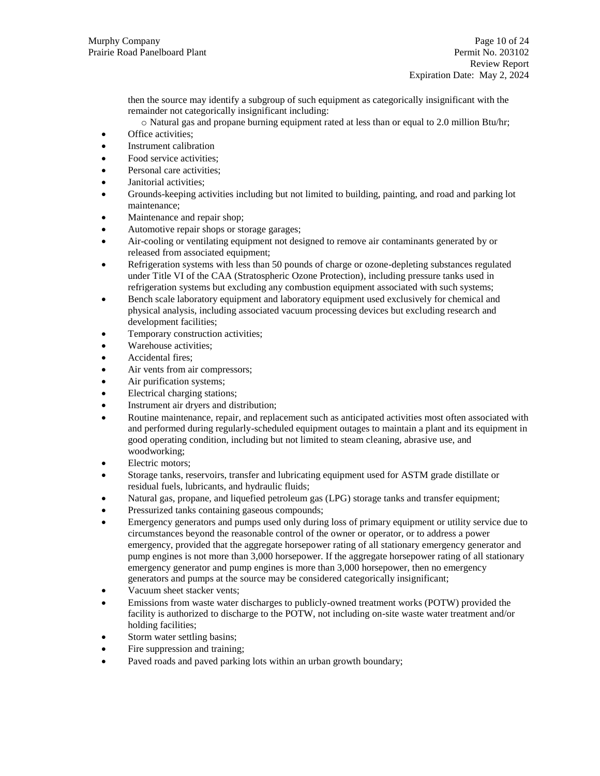then the source may identify a subgroup of such equipment as categorically insignificant with the remainder not categorically insignificant including:

- o Natural gas and propane burning equipment rated at less than or equal to 2.0 million Btu/hr;
- Office activities;
- Instrument calibration
- Food service activities;
- Personal care activities;
- Janitorial activities;
- Grounds-keeping activities including but not limited to building, painting, and road and parking lot maintenance;
- Maintenance and repair shop;
- Automotive repair shops or storage garages;
- Air-cooling or ventilating equipment not designed to remove air contaminants generated by or released from associated equipment;
- Refrigeration systems with less than 50 pounds of charge or ozone-depleting substances regulated under Title VI of the CAA (Stratospheric Ozone Protection), including pressure tanks used in refrigeration systems but excluding any combustion equipment associated with such systems;
- Bench scale laboratory equipment and laboratory equipment used exclusively for chemical and physical analysis, including associated vacuum processing devices but excluding research and development facilities;
- Temporary construction activities;
- Warehouse activities;
- Accidental fires;
- Air vents from air compressors;
- Air purification systems;
- Electrical charging stations;
- Instrument air dryers and distribution;
- Routine maintenance, repair, and replacement such as anticipated activities most often associated with and performed during regularly-scheduled equipment outages to maintain a plant and its equipment in good operating condition, including but not limited to steam cleaning, abrasive use, and woodworking;
- Electric motors;
- Storage tanks, reservoirs, transfer and lubricating equipment used for ASTM grade distillate or residual fuels, lubricants, and hydraulic fluids;
- Natural gas, propane, and liquefied petroleum gas (LPG) storage tanks and transfer equipment;
- Pressurized tanks containing gaseous compounds;
- Emergency generators and pumps used only during loss of primary equipment or utility service due to circumstances beyond the reasonable control of the owner or operator, or to address a power emergency, provided that the aggregate horsepower rating of all stationary emergency generator and pump engines is not more than 3,000 horsepower. If the aggregate horsepower rating of all stationary emergency generator and pump engines is more than 3,000 horsepower, then no emergency generators and pumps at the source may be considered categorically insignificant;
- Vacuum sheet stacker vents;
- Emissions from waste water discharges to publicly-owned treatment works (POTW) provided the facility is authorized to discharge to the POTW, not including on-site waste water treatment and/or holding facilities;
- Storm water settling basins;
- Fire suppression and training;
- Paved roads and paved parking lots within an urban growth boundary;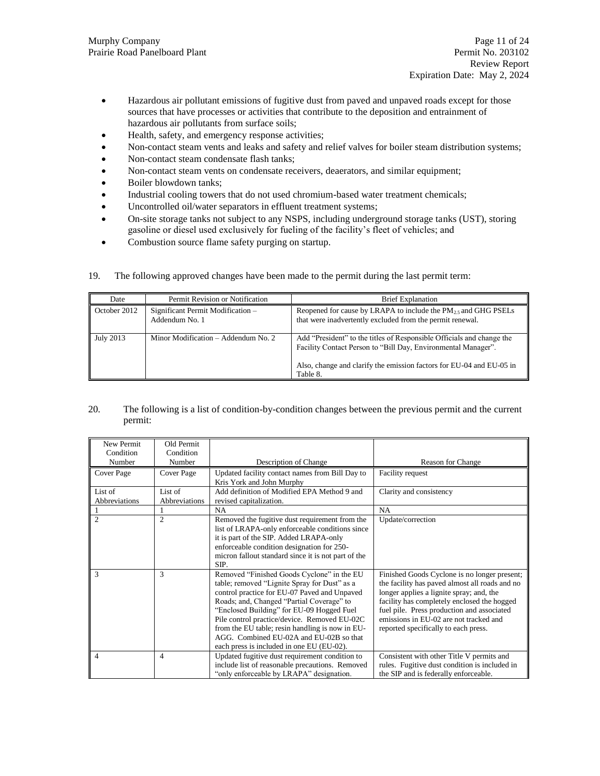- Hazardous air pollutant emissions of fugitive dust from paved and unpaved roads except for those sources that have processes or activities that contribute to the deposition and entrainment of hazardous air pollutants from surface soils;
- Health, safety, and emergency response activities;
- Non-contact steam vents and leaks and safety and relief valves for boiler steam distribution systems;
- Non-contact steam condensate flash tanks;
- Non-contact steam vents on condensate receivers, deaerators, and similar equipment;
- Boiler blowdown tanks;
- Industrial cooling towers that do not used chromium-based water treatment chemicals;
- Uncontrolled oil/water separators in effluent treatment systems;
- On-site storage tanks not subject to any NSPS, including underground storage tanks (UST), storing gasoline or diesel used exclusively for fueling of the facility's fleet of vehicles; and
- Combustion source flame safety purging on startup.

| 19. | The following approved changes have been made to the permit during the last permit term: |  |  |  |  |  |
|-----|------------------------------------------------------------------------------------------|--|--|--|--|--|
|-----|------------------------------------------------------------------------------------------|--|--|--|--|--|

| Date         | Permit Revision or Notification                     | <b>Brief Explanation</b>                                                                                                                                                                                                   |
|--------------|-----------------------------------------------------|----------------------------------------------------------------------------------------------------------------------------------------------------------------------------------------------------------------------------|
| October 2012 | Significant Permit Modification -<br>Addendum No. 1 | Reopened for cause by LRAPA to include the $PM_{2.5}$ and GHG PSELs<br>that were inadvertently excluded from the permit renewal.                                                                                           |
| July 2013    | Minor Modification – Addendum No. 2                 | Add "President" to the titles of Responsible Officials and change the<br>Facility Contact Person to "Bill Day, Environmental Manager".<br>Also, change and clarify the emission factors for EU-04 and EU-05 in<br>Table 8. |

### 20. The following is a list of condition-by-condition changes between the previous permit and the current permit:

| New Permit     | Old Permit     |                                                     |                                                |
|----------------|----------------|-----------------------------------------------------|------------------------------------------------|
| Condition      | Condition      |                                                     |                                                |
| Number         | Number         | Description of Change                               | Reason for Change                              |
| Cover Page     | Cover Page     | Updated facility contact names from Bill Day to     | Facility request                               |
|                |                | Kris York and John Murphy                           |                                                |
| List of        | List of        | Add definition of Modified EPA Method 9 and         | Clarity and consistency                        |
| Abbreviations  | Abbreviations  | revised capitalization.                             |                                                |
|                |                | <b>NA</b>                                           | NA                                             |
| $\overline{c}$ | $\overline{2}$ | Removed the fugitive dust requirement from the      | Update/correction                              |
|                |                | list of LRAPA-only enforceable conditions since     |                                                |
|                |                | it is part of the SIP. Added LRAPA-only             |                                                |
|                |                | enforceable condition designation for 250-          |                                                |
|                |                | micron fallout standard since it is not part of the |                                                |
|                |                | SIP.                                                |                                                |
| 3              | 3              | Removed "Finished Goods Cyclone" in the EU          | Finished Goods Cyclone is no longer present;   |
|                |                | table; removed "Lignite Spray for Dust" as a        | the facility has paved almost all roads and no |
|                |                | control practice for EU-07 Paved and Unpaved        | longer applies a lignite spray; and, the       |
|                |                | Roads; and, Changed "Partial Coverage" to           | facility has completely enclosed the hogged    |
|                |                | "Enclosed Building" for EU-09 Hogged Fuel           | fuel pile. Press production and associated     |
|                |                | Pile control practice/device. Removed EU-02C        | emissions in EU-02 are not tracked and         |
|                |                | from the EU table; resin handling is now in EU-     | reported specifically to each press.           |
|                |                | AGG. Combined EU-02A and EU-02B so that             |                                                |
|                |                | each press is included in one EU (EU-02).           |                                                |
| 4              | $\overline{4}$ | Updated fugitive dust requirement condition to      | Consistent with other Title V permits and      |
|                |                | include list of reasonable precautions. Removed     | rules. Fugitive dust condition is included in  |
|                |                | "only enforceable by LRAPA" designation.            | the SIP and is federally enforceable.          |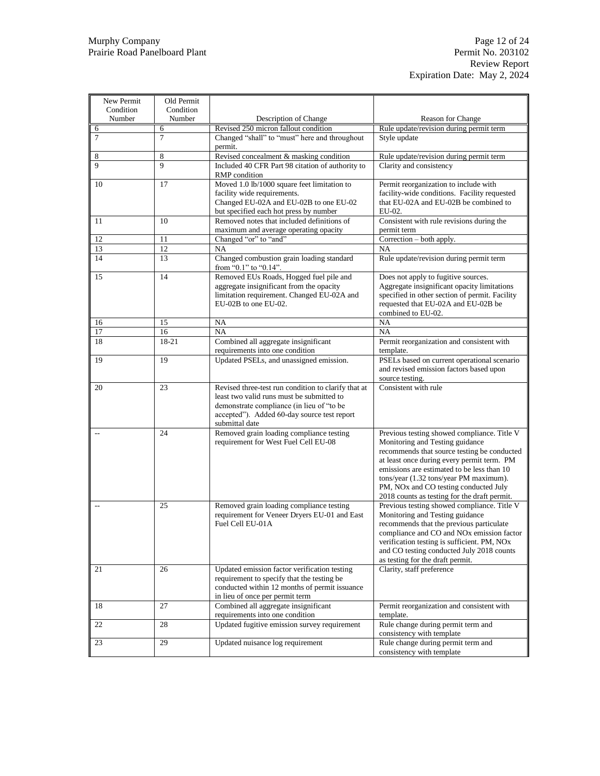| New Permit  | Old Permit          |                                                                                       |                                                                                           |
|-------------|---------------------|---------------------------------------------------------------------------------------|-------------------------------------------------------------------------------------------|
| Condition   | Condition           |                                                                                       |                                                                                           |
| Number      | Number              | Description of Change                                                                 | <b>Reason for Change</b>                                                                  |
| 6<br>$\tau$ | 6<br>$\overline{7}$ | Revised 250 micron fallout condition<br>Changed "shall" to "must" here and throughout | Rule update/revision during permit term<br>Style update                                   |
|             |                     | permit.                                                                               |                                                                                           |
| 8           | 8                   | Revised concealment & masking condition                                               | Rule update/revision during permit term                                                   |
| 9           | $\mathbf{Q}$        | Included 40 CFR Part 98 citation of authority to                                      | Clarity and consistency                                                                   |
|             |                     | RMP condition                                                                         |                                                                                           |
| 10          | 17                  | Moved 1.0 lb/1000 square feet limitation to                                           | Permit reorganization to include with                                                     |
|             |                     | facility wide requirements.                                                           | facility-wide conditions. Facility requested                                              |
|             |                     | Changed EU-02A and EU-02B to one EU-02                                                | that EU-02A and EU-02B be combined to<br>EU-02.                                           |
| 11          | 10                  | but specified each hot press by number<br>Removed notes that included definitions of  | Consistent with rule revisions during the                                                 |
|             |                     | maximum and average operating opacity                                                 | permit term                                                                               |
| 12          | 11                  | Changed "or" to "and"                                                                 | Correction – both apply.                                                                  |
| 13          | 12                  | <b>NA</b>                                                                             | NA                                                                                        |
| 14          | 13                  | Changed combustion grain loading standard                                             | Rule update/revision during permit term                                                   |
|             |                     | from "0.1" to "0.14".                                                                 |                                                                                           |
| 15          | 14                  | Removed EUs Roads, Hogged fuel pile and                                               | Does not apply to fugitive sources.                                                       |
|             |                     | aggregate insignificant from the opacity                                              | Aggregate insignificant opacity limitations                                               |
|             |                     | limitation requirement. Changed EU-02A and<br>EU-02B to one EU-02.                    | specified in other section of permit. Facility<br>requested that EU-02A and EU-02B be     |
|             |                     |                                                                                       | combined to EU-02.                                                                        |
| 16          | 15                  | NA                                                                                    | NA                                                                                        |
| 17          | 16                  | <b>NA</b>                                                                             | NA                                                                                        |
| 18          | 18-21               | Combined all aggregate insignificant                                                  | Permit reorganization and consistent with                                                 |
|             |                     | requirements into one condition                                                       | template.                                                                                 |
| 19          | 19                  | Updated PSELs, and unassigned emission.                                               | PSELs based on current operational scenario                                               |
|             |                     |                                                                                       | and revised emission factors based upon                                                   |
| 20          | 23                  | Revised three-test run condition to clarify that at                                   | source testing.<br>Consistent with rule                                                   |
|             |                     | least two valid runs must be submitted to                                             |                                                                                           |
|             |                     | demonstrate compliance (in lieu of "to be                                             |                                                                                           |
|             |                     | accepted"). Added 60-day source test report                                           |                                                                                           |
|             |                     | submittal date                                                                        |                                                                                           |
| $-$         | 24                  | Removed grain loading compliance testing                                              | Previous testing showed compliance. Title V                                               |
|             |                     | requirement for West Fuel Cell EU-08                                                  | Monitoring and Testing guidance                                                           |
|             |                     |                                                                                       | recommends that source testing be conducted<br>at least once during every permit term. PM |
|             |                     |                                                                                       | emissions are estimated to be less than 10                                                |
|             |                     |                                                                                       | tons/year (1.32 tons/year PM maximum).                                                    |
|             |                     |                                                                                       | PM, NO <sub>x</sub> and CO testing conducted July                                         |
|             |                     |                                                                                       | 2018 counts as testing for the draft permit.                                              |
| $-$         | 25                  | Removed grain loading compliance testing                                              | Previous testing showed compliance. Title V                                               |
|             |                     | requirement for Veneer Dryers EU-01 and East<br>Fuel Cell EU-01A                      | Monitoring and Testing guidance<br>recommends that the previous particulate               |
|             |                     |                                                                                       | compliance and CO and NO <sub>x</sub> emission factor                                     |
|             |                     |                                                                                       | verification testing is sufficient. PM, NOx                                               |
|             |                     |                                                                                       | and CO testing conducted July 2018 counts                                                 |
|             |                     |                                                                                       | as testing for the draft permit.                                                          |
| 21          | 26                  | Updated emission factor verification testing                                          | Clarity, staff preference                                                                 |
|             |                     | requirement to specify that the testing be                                            |                                                                                           |
|             |                     | conducted within 12 months of permit issuance<br>in lieu of once per permit term      |                                                                                           |
| 18          | 27                  | Combined all aggregate insignificant                                                  | Permit reorganization and consistent with                                                 |
|             |                     | requirements into one condition                                                       | template.                                                                                 |
| 22          | 28                  | Updated fugitive emission survey requirement                                          | Rule change during permit term and                                                        |
|             |                     |                                                                                       | consistency with template                                                                 |
| 23          | 29                  | Updated nuisance log requirement                                                      | Rule change during permit term and                                                        |
|             |                     |                                                                                       | consistency with template                                                                 |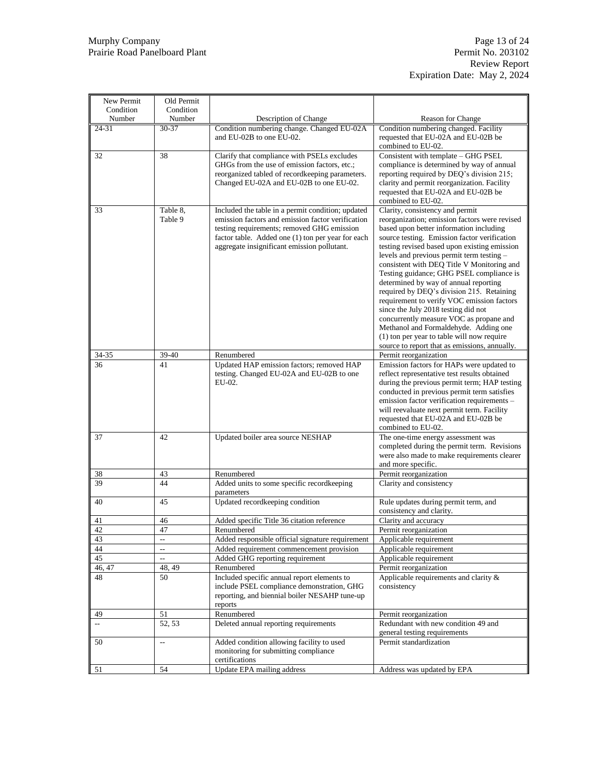| New Permit<br>Condition     | Old Permit<br>Condition  |                                                                                                                                                                                                                                                          |                                                                                                                                                                                                                                                                                                                                                                                                                                                                                                                                                                                                                                                                                                                                  |
|-----------------------------|--------------------------|----------------------------------------------------------------------------------------------------------------------------------------------------------------------------------------------------------------------------------------------------------|----------------------------------------------------------------------------------------------------------------------------------------------------------------------------------------------------------------------------------------------------------------------------------------------------------------------------------------------------------------------------------------------------------------------------------------------------------------------------------------------------------------------------------------------------------------------------------------------------------------------------------------------------------------------------------------------------------------------------------|
| Number                      | Number                   | Description of Change                                                                                                                                                                                                                                    | <b>Reason for Change</b>                                                                                                                                                                                                                                                                                                                                                                                                                                                                                                                                                                                                                                                                                                         |
| $24 - 31$                   | 30-37                    | Condition numbering change. Changed EU-02A<br>and EU-02B to one EU-02.                                                                                                                                                                                   | Condition numbering changed. Facility<br>requested that EU-02A and EU-02B be<br>combined to EU-02.                                                                                                                                                                                                                                                                                                                                                                                                                                                                                                                                                                                                                               |
| 32                          | 38                       | Clarify that compliance with PSELs excludes<br>GHGs from the use of emission factors, etc.;<br>reorganized tabled of recordkeeping parameters.<br>Changed EU-02A and EU-02B to one EU-02.                                                                | Consistent with template - GHG PSEL<br>compliance is determined by way of annual<br>reporting required by DEQ's division 215;<br>clarity and permit reorganization. Facility<br>requested that EU-02A and EU-02B be<br>combined to EU-02.                                                                                                                                                                                                                                                                                                                                                                                                                                                                                        |
| 33                          | Table 8.<br>Table 9      | Included the table in a permit condition; updated<br>emission factors and emission factor verification<br>testing requirements; removed GHG emission<br>factor table. Added one (1) ton per year for each<br>aggregate insignificant emission pollutant. | Clarity, consistency and permit<br>reorganization; emission factors were revised<br>based upon better information including<br>source testing. Emission factor verification<br>testing revised based upon existing emission<br>levels and previous permit term testing -<br>consistent with DEQ Title V Monitoring and<br>Testing guidance; GHG PSEL compliance is<br>determined by way of annual reporting<br>required by DEQ's division 215. Retaining<br>requirement to verify VOC emission factors<br>since the July 2018 testing did not<br>concurrently measure VOC as propane and<br>Methanol and Formaldehyde. Adding one<br>(1) ton per year to table will now require<br>source to report that as emissions, annually. |
| 34-35                       | 39-40                    | Renumbered                                                                                                                                                                                                                                               | Permit reorganization                                                                                                                                                                                                                                                                                                                                                                                                                                                                                                                                                                                                                                                                                                            |
| 36                          | 41                       | Updated HAP emission factors; removed HAP<br>testing. Changed EU-02A and EU-02B to one<br>EU-02.                                                                                                                                                         | Emission factors for HAPs were updated to<br>reflect representative test results obtained<br>during the previous permit term; HAP testing<br>conducted in previous permit term satisfies<br>emission factor verification requirements -<br>will reevaluate next permit term. Facility<br>requested that EU-02A and EU-02B be<br>combined to EU-02.                                                                                                                                                                                                                                                                                                                                                                               |
| 37                          | 42                       | Updated boiler area source NESHAP                                                                                                                                                                                                                        | The one-time energy assessment was<br>completed during the permit term. Revisions<br>were also made to make requirements clearer<br>and more specific.                                                                                                                                                                                                                                                                                                                                                                                                                                                                                                                                                                           |
| 38                          | 43                       | Renumbered                                                                                                                                                                                                                                               | Permit reorganization                                                                                                                                                                                                                                                                                                                                                                                                                                                                                                                                                                                                                                                                                                            |
| 39                          | 44                       | Added units to some specific recordkeeping<br>parameters                                                                                                                                                                                                 | Clarity and consistency                                                                                                                                                                                                                                                                                                                                                                                                                                                                                                                                                                                                                                                                                                          |
| 40                          | 45                       | Updated recordkeeping condition                                                                                                                                                                                                                          | Rule updates during permit term, and<br>consistency and clarity.                                                                                                                                                                                                                                                                                                                                                                                                                                                                                                                                                                                                                                                                 |
| 41                          | 46                       | Added specific Title 36 citation reference                                                                                                                                                                                                               | Clarity and accuracy                                                                                                                                                                                                                                                                                                                                                                                                                                                                                                                                                                                                                                                                                                             |
| 42                          | 47                       | Renumbered                                                                                                                                                                                                                                               | Permit reorganization                                                                                                                                                                                                                                                                                                                                                                                                                                                                                                                                                                                                                                                                                                            |
| 43                          | $\overline{\phantom{a}}$ | Added responsible official signature requirement                                                                                                                                                                                                         | Applicable requirement                                                                                                                                                                                                                                                                                                                                                                                                                                                                                                                                                                                                                                                                                                           |
| 44                          | $\overline{\phantom{a}}$ | Added requirement commencement provision                                                                                                                                                                                                                 | Applicable requirement                                                                                                                                                                                                                                                                                                                                                                                                                                                                                                                                                                                                                                                                                                           |
| 45                          | $\overline{\phantom{a}}$ | Added GHG reporting requirement                                                                                                                                                                                                                          | Applicable requirement                                                                                                                                                                                                                                                                                                                                                                                                                                                                                                                                                                                                                                                                                                           |
| 46, 47                      | 48, 49                   | Renumbered                                                                                                                                                                                                                                               | Permit reorganization                                                                                                                                                                                                                                                                                                                                                                                                                                                                                                                                                                                                                                                                                                            |
| 48                          | 50                       | Included specific annual report elements to<br>include PSEL compliance demonstration, GHG<br>reporting, and biennial boiler NESAHP tune-up<br>reports                                                                                                    | Applicable requirements and clarity $\&$<br>consistency                                                                                                                                                                                                                                                                                                                                                                                                                                                                                                                                                                                                                                                                          |
| 49                          | 51                       | Renumbered                                                                                                                                                                                                                                               | Permit reorganization                                                                                                                                                                                                                                                                                                                                                                                                                                                                                                                                                                                                                                                                                                            |
| $\mathcal{L}^{\mathcal{L}}$ | 52, 53                   | Deleted annual reporting requirements                                                                                                                                                                                                                    | Redundant with new condition 49 and<br>general testing requirements                                                                                                                                                                                                                                                                                                                                                                                                                                                                                                                                                                                                                                                              |
| 50                          | $\overline{\phantom{a}}$ | Added condition allowing facility to used<br>monitoring for submitting compliance<br>certifications                                                                                                                                                      | Permit standardization                                                                                                                                                                                                                                                                                                                                                                                                                                                                                                                                                                                                                                                                                                           |
| 51                          | 54                       | Update EPA mailing address                                                                                                                                                                                                                               | Address was updated by EPA                                                                                                                                                                                                                                                                                                                                                                                                                                                                                                                                                                                                                                                                                                       |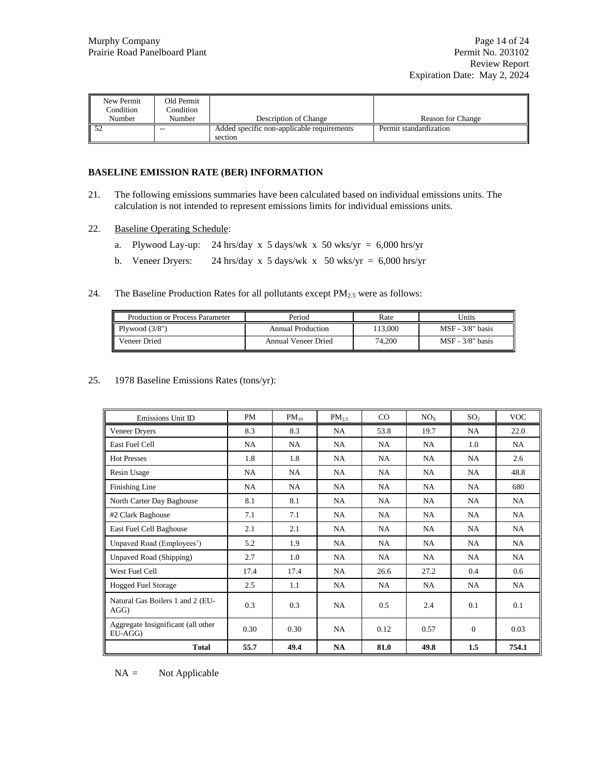| New Permit<br>Condition<br><b>Number</b> | Old Permit<br>Condition<br>Number | Description of Change                                 | Reason for Change      |
|------------------------------------------|-----------------------------------|-------------------------------------------------------|------------------------|
|                                          | $- -$                             | Added specific non-applicable requirements<br>section | Permit standardization |

## **BASELINE EMISSION RATE (BER) INFORMATION**

- 21. The following emissions summaries have been calculated based on individual emissions units. The calculation is not intended to represent emissions limits for individual emissions units.
- 22. Baseline Operating Schedule:
	- a. Plywood Lay-up: 24 hrs/day x 5 days/wk x 50 wks/yr = 6,000 hrs/yr
	- b. Veneer Dryers: 24 hrs/day x 5 days/wk x 50 wks/yr =  $6,000$  hrs/yr
- 24. The Baseline Production Rates for all pollutants except PM<sub>2.5</sub> were as follows:

| Production or Process Parameter | Period              | Rate   | Jnits              |  |
|---------------------------------|---------------------|--------|--------------------|--|
| Plywood $(3/8")$                | Annual Production   | 13,000 | $MSF - 3/8"$ basis |  |
| Veneer Dried                    | Annual Veneer Dried | 74.200 | $MSF - 3/8"$ basis |  |

25. 1978 Baseline Emissions Rates (tons/yr):

| Emissions Unit ID                             | <b>PM</b> | $PM_{10}$ | $PM_{25}$ | $\rm CO$ | NO <sub>x</sub> | SO <sub>2</sub> | <b>VOC</b> |
|-----------------------------------------------|-----------|-----------|-----------|----------|-----------------|-----------------|------------|
| Veneer Dryers                                 | 8.3       | 8.3       | NA.       | 53.8     | 19.7            | NA.             | 22.0       |
| East Fuel Cell                                | NA        | NA        | NA        | NA       | NA              | 1.0             | NA.        |
| <b>Hot Presses</b>                            | 1.8       | 1.8       | NA.       | NA.      | NA.             | NA.             | 2.6        |
| Resin Usage                                   | NA        | NA        | NA        | NA       | <b>NA</b>       | NA.             | 48.8       |
| Finishing Line                                | NA.       | NA        | NA        | NA.      | NA              | NA.             | 680        |
| North Carter Day Baghouse                     | 8.1       | 8.1       | NA        | NA.      | NA.             | NA.             | NA.        |
| #2 Clark Baghouse                             | 7.1       | 7.1       | NA.       | NA.      | NA.             | NA.             | NA.        |
| East Fuel Cell Baghouse                       | 2.1       | 2.1       | NA        | NA       | <b>NA</b>       | NA.             | NA         |
| Unpaved Road (Employees')                     | 5.2       | 1.9       | NA        | NA       | <b>NA</b>       | NA              | NA         |
| Unpaved Road (Shipping)                       | 2.7       | 1.0       | NA        | NA       | NA.             | NA.             | NA.        |
| West Fuel Cell                                | 17.4      | 17.4      | NA        | 26.6     | 27.2            | 0.4             | 0.6        |
| <b>Hogged Fuel Storage</b>                    | 2.5       | 1.1       | NA.       | NA.      | NA              | NA.             | NA.        |
| Natural Gas Boilers 1 and 2 (EU-<br>AGG)      | 0.3       | 0.3       | <b>NA</b> | 0.5      | 2.4             | 0.1             | 0.1        |
| Aggregate Insignificant (all other<br>EU-AGG) | 0.30      | 0.30      | NA        | 0.12     | 0.57            | $\Omega$        | 0.03       |
| <b>Total</b>                                  | 55.7      | 49.4      | NA        | 81.0     | 49.8            | 1.5             | 754.1      |

 $NA =$  Not Applicable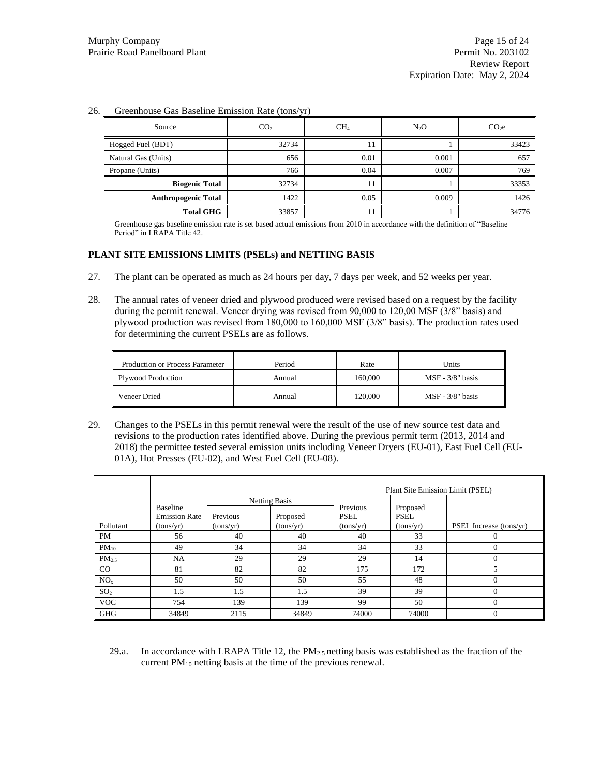| Source                     | CO <sub>2</sub> | CH <sub>4</sub> | $N_2O$ | CO <sub>2</sub> |
|----------------------------|-----------------|-----------------|--------|-----------------|
| Hogged Fuel (BDT)          | 32734           | 11              |        | 33423           |
| Natural Gas (Units)        | 656             | 0.01            | 0.001  | 657             |
| Propane (Units)            | 766             | 0.04            | 0.007  | 769             |
| <b>Biogenic Total</b>      | 32734           | 11              |        | 33353           |
| <b>Anthropogenic Total</b> | 1422            | 0.05            | 0.009  | 1426            |
| <b>Total GHG</b>           | 33857           | 11              |        | 34776           |

#### 26. Greenhouse Gas Baseline Emission Rate (tons/yr)

Greenhouse gas baseline emission rate is set based actual emissions from 2010 in accordance with the definition of "Baseline Period" in LRAPA Title 42.

### **PLANT SITE EMISSIONS LIMITS (PSELs) and NETTING BASIS**

- 27. The plant can be operated as much as 24 hours per day, 7 days per week, and 52 weeks per year.
- 28. The annual rates of veneer dried and plywood produced were revised based on a request by the facility during the permit renewal. Veneer drying was revised from 90,000 to 120,00 MSF (3/8" basis) and plywood production was revised from 180,000 to 160,000 MSF (3/8" basis). The production rates used for determining the current PSELs are as follows.

| <b>Production or Process Parameter</b> | Period | Rate    | Units              |
|----------------------------------------|--------|---------|--------------------|
| <b>Plywood Production</b>              | Annual | 160,000 | $MSF - 3/8"$ basis |
| Veneer Dried                           | Annual | 120,000 | $MSF - 3/8"$ basis |

29. Changes to the PSELs in this permit renewal were the result of the use of new source test data and revisions to the production rates identified above. During the previous permit term (2013, 2014 and 2018) the permittee tested several emission units including Veneer Dryers (EU-01), East Fuel Cell (EU-01A), Hot Presses (EU-02), and West Fuel Cell (EU-08).

|                 |                                                      |                       |                                               |                                      | Plant Site Emission Limit (PSEL)     |                         |
|-----------------|------------------------------------------------------|-----------------------|-----------------------------------------------|--------------------------------------|--------------------------------------|-------------------------|
| Pollutant       | <b>Baseline</b><br><b>Emission Rate</b><br>(tons/yr) | Previous<br>(tons/yr) | <b>Netting Basis</b><br>Proposed<br>(tons/yr) | Previous<br><b>PSEL</b><br>(tons/yr) | Proposed<br><b>PSEL</b><br>(tons/yr) | PSEL Increase (tons/yr) |
| PM              | 56                                                   | 40                    | 40                                            | 40                                   | 33                                   |                         |
| $PM_{10}$       | 49                                                   | 34                    | 34                                            | 34                                   | 33                                   | $\Omega$                |
| $PM_{2.5}$      | NA                                                   | 29                    | 29                                            | 29                                   | 14                                   | $\Omega$                |
| CO              | 81                                                   | 82                    | 82                                            | 175                                  | 172                                  | 5                       |
| NO <sub>x</sub> | 50                                                   | 50                    | 50                                            | 55                                   | 48                                   | $\Omega$                |
| SO <sub>2</sub> | 1.5                                                  | 1.5                   | 1.5                                           | 39                                   | 39                                   | $\Omega$                |
| <b>VOC</b>      | 754                                                  | 139                   | 139                                           | 99                                   | 50                                   | $\Omega$                |
| <b>GHG</b>      | 34849                                                | 2115                  | 34849                                         | 74000                                | 74000                                | $\Omega$                |

29.a. In accordance with LRAPA Title 12, the  $PM_{2.5}$  netting basis was established as the fraction of the current PM<sup>10</sup> netting basis at the time of the previous renewal.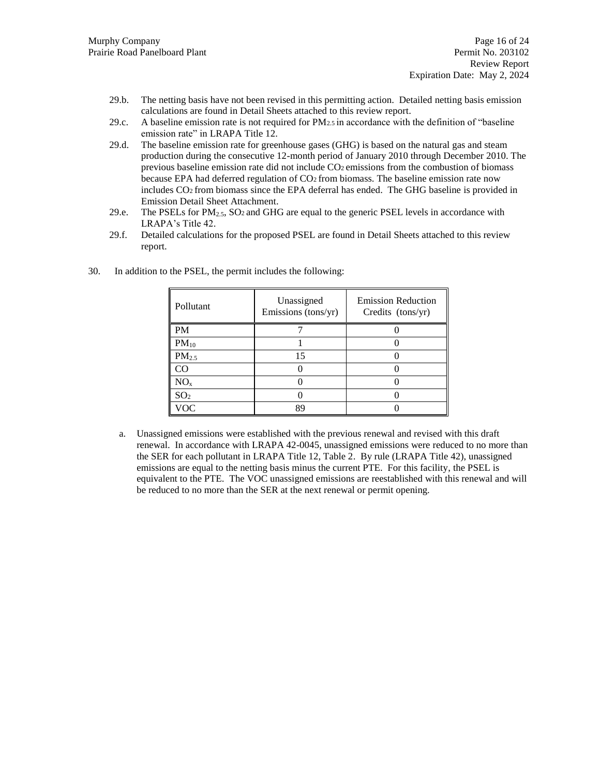- 29.b. The netting basis have not been revised in this permitting action. Detailed netting basis emission calculations are found in Detail Sheets attached to this review report.
- 29.c. A baseline emission rate is not required for PM2.5 in accordance with the definition of "baseline emission rate" in LRAPA Title 12.
- 29.d. The baseline emission rate for greenhouse gases (GHG) is based on the natural gas and steam production during the consecutive 12-month period of January 2010 through December 2010. The previous baseline emission rate did not include CO2 emissions from the combustion of biomass because EPA had deferred regulation of CO2 from biomass. The baseline emission rate now includes CO2 from biomass since the EPA deferral has ended. The GHG baseline is provided in Emission Detail Sheet Attachment.
- 29.e. The PSELs for  $PM_{2.5}$ , SO<sub>2</sub> and GHG are equal to the generic PSEL levels in accordance with LRAPA's Title 42.
- 29.f. Detailed calculations for the proposed PSEL are found in Detail Sheets attached to this review report.

| Pollutant         | Unassigned<br>Emissions (tons/yr) | <b>Emission Reduction</b><br>Credits (tons/yr) |
|-------------------|-----------------------------------|------------------------------------------------|
| PM                |                                   |                                                |
| $PM_{10}$         |                                   |                                                |
| PM <sub>2.5</sub> | 15                                |                                                |
| CO                |                                   |                                                |
| NO <sub>x</sub>   |                                   |                                                |
| SO <sub>2</sub>   |                                   |                                                |
| VOC               | 89                                |                                                |

30. In addition to the PSEL, the permit includes the following:

a. Unassigned emissions were established with the previous renewal and revised with this draft renewal. In accordance with LRAPA 42-0045, unassigned emissions were reduced to no more than the SER for each pollutant in LRAPA Title 12, Table 2. By rule (LRAPA Title 42), unassigned emissions are equal to the netting basis minus the current PTE. For this facility, the PSEL is equivalent to the PTE. The VOC unassigned emissions are reestablished with this renewal and will be reduced to no more than the SER at the next renewal or permit opening.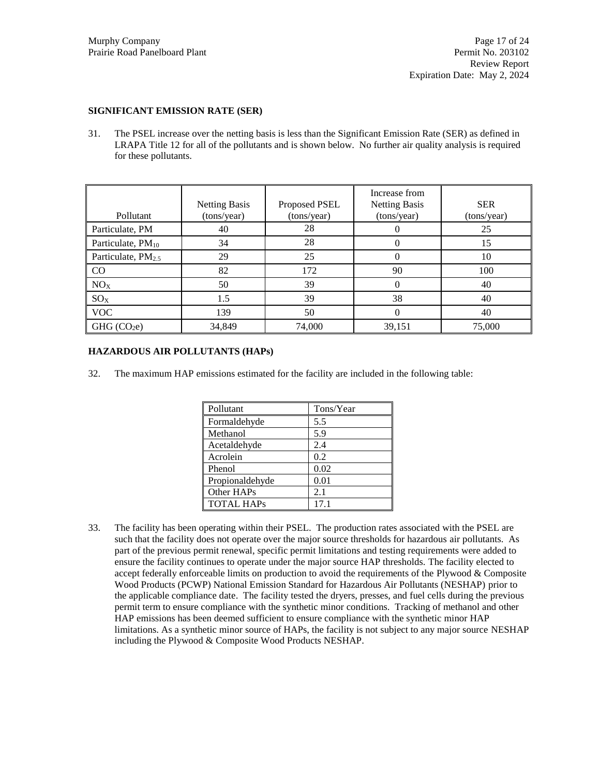#### **SIGNIFICANT EMISSION RATE (SER)**

31. The PSEL increase over the netting basis is less than the Significant Emission Rate (SER) as defined in LRAPA Title 12 for all of the pollutants and is shown below. No further air quality analysis is required for these pollutants.

| Pollutant                      | <b>Netting Basis</b><br>(tons/year) | Proposed PSEL<br>(tons/year) | Increase from<br><b>Netting Basis</b><br>(tons/year) | <b>SER</b><br>(tons/year) |
|--------------------------------|-------------------------------------|------------------------------|------------------------------------------------------|---------------------------|
| Particulate, PM                | 40                                  | 28                           | 0                                                    | 25                        |
| Particulate, PM <sub>10</sub>  | 34                                  | 28                           | 0                                                    | 15                        |
| Particulate, PM <sub>2.5</sub> | 29                                  | 25                           | 0                                                    | 10                        |
| CO                             | 82                                  | 172                          | 90                                                   | 100                       |
| NO <sub>X</sub>                | 50                                  | 39                           | 0                                                    | 40                        |
| $SO_{X}$                       | 1.5                                 | 39                           | 38                                                   | 40                        |
| <b>VOC</b>                     | 139                                 | 50                           | 0                                                    | 40                        |
| GHG (CO <sub>2</sub> e)        | 34,849                              | 74,000                       | 39,151                                               | 75,000                    |

#### **HAZARDOUS AIR POLLUTANTS (HAPs)**

32. The maximum HAP emissions estimated for the facility are included in the following table:

| Pollutant         | Tons/Year |
|-------------------|-----------|
| Formaldehyde      | 5.5       |
| Methanol          | 5.9       |
| Acetaldehyde      | 2.4       |
| Acrolein          | 0.2       |
| Phenol            | 0.02      |
| Propionaldehyde   | 0.01      |
| Other HAPs        | 2.1       |
| <b>TOTAL HAPS</b> | 17 1      |

33. The facility has been operating within their PSEL. The production rates associated with the PSEL are such that the facility does not operate over the major source thresholds for hazardous air pollutants. As part of the previous permit renewal, specific permit limitations and testing requirements were added to ensure the facility continues to operate under the major source HAP thresholds. The facility elected to accept federally enforceable limits on production to avoid the requirements of the Plywood & Composite Wood Products (PCWP) National Emission Standard for Hazardous Air Pollutants (NESHAP) prior to the applicable compliance date. The facility tested the dryers, presses, and fuel cells during the previous permit term to ensure compliance with the synthetic minor conditions. Tracking of methanol and other HAP emissions has been deemed sufficient to ensure compliance with the synthetic minor HAP limitations. As a synthetic minor source of HAPs, the facility is not subject to any major source NESHAP including the Plywood & Composite Wood Products NESHAP.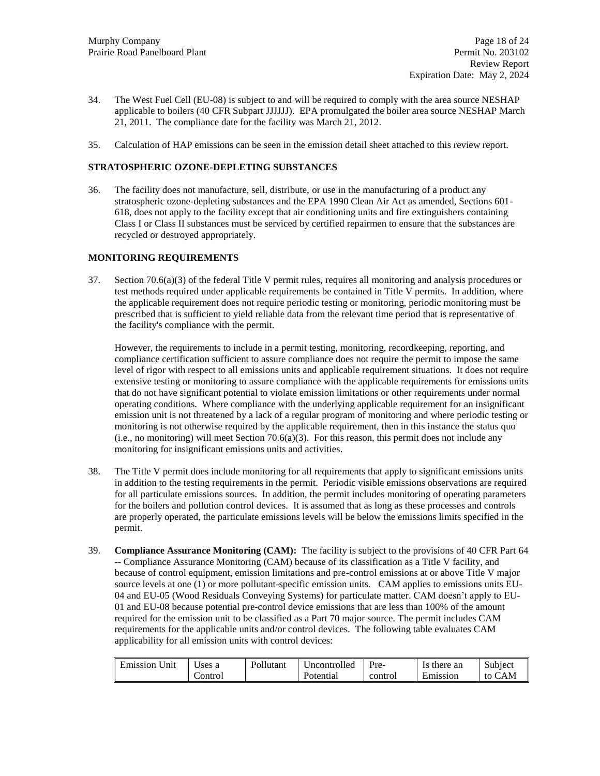- 34. The West Fuel Cell (EU-08) is subject to and will be required to comply with the area source NESHAP applicable to boilers (40 CFR Subpart JJJJJJ). EPA promulgated the boiler area source NESHAP March 21, 2011. The compliance date for the facility was March 21, 2012.
- 35. Calculation of HAP emissions can be seen in the emission detail sheet attached to this review report.

### **STRATOSPHERIC OZONE-DEPLETING SUBSTANCES**

36. The facility does not manufacture, sell, distribute, or use in the manufacturing of a product any stratospheric ozone-depleting substances and the EPA 1990 Clean Air Act as amended, Sections 601- 618, does not apply to the facility except that air conditioning units and fire extinguishers containing Class I or Class II substances must be serviced by certified repairmen to ensure that the substances are recycled or destroyed appropriately.

### **MONITORING REQUIREMENTS**

37. Section 70.6(a)(3) of the federal Title V permit rules, requires all monitoring and analysis procedures or test methods required under applicable requirements be contained in Title V permits. In addition, where the applicable requirement does not require periodic testing or monitoring, periodic monitoring must be prescribed that is sufficient to yield reliable data from the relevant time period that is representative of the facility's compliance with the permit.

However, the requirements to include in a permit testing, monitoring, recordkeeping, reporting, and compliance certification sufficient to assure compliance does not require the permit to impose the same level of rigor with respect to all emissions units and applicable requirement situations. It does not require extensive testing or monitoring to assure compliance with the applicable requirements for emissions units that do not have significant potential to violate emission limitations or other requirements under normal operating conditions. Where compliance with the underlying applicable requirement for an insignificant emission unit is not threatened by a lack of a regular program of monitoring and where periodic testing or monitoring is not otherwise required by the applicable requirement, then in this instance the status quo  $(i.e., no monitoring) will meet Section 70.6(a)(3).$  For this reason, this permit does not include any monitoring for insignificant emissions units and activities.

- 38. The Title V permit does include monitoring for all requirements that apply to significant emissions units in addition to the testing requirements in the permit. Periodic visible emissions observations are required for all particulate emissions sources. In addition, the permit includes monitoring of operating parameters for the boilers and pollution control devices. It is assumed that as long as these processes and controls are properly operated, the particulate emissions levels will be below the emissions limits specified in the permit.
- 39. **Compliance Assurance Monitoring (CAM):** The facility is subject to the provisions of 40 CFR Part 64 -- Compliance Assurance Monitoring (CAM) because of its classification as a Title V facility, and because of control equipment, emission limitations and pre-control emissions at or above Title V major source levels at one (1) or more pollutant-specific emission units. CAM applies to emissions units EU-04 and EU-05 (Wood Residuals Conveying Systems) for particulate matter. CAM doesn't apply to EU-01 and EU-08 because potential pre-control device emissions that are less than 100% of the amount required for the emission unit to be classified as a Part 70 major source. The permit includes CAM requirements for the applicable units and/or control devices. The following table evaluates CAM applicability for all emission units with control devices:

| Emission Unit | Jses a  | Pollutant | Uncontrolled | $P_{\rm{Te-}}$ | Is there an | Subject     |
|---------------|---------|-----------|--------------|----------------|-------------|-------------|
|               | Control |           | Potential    | control        | Emission    | CAM<br>to ( |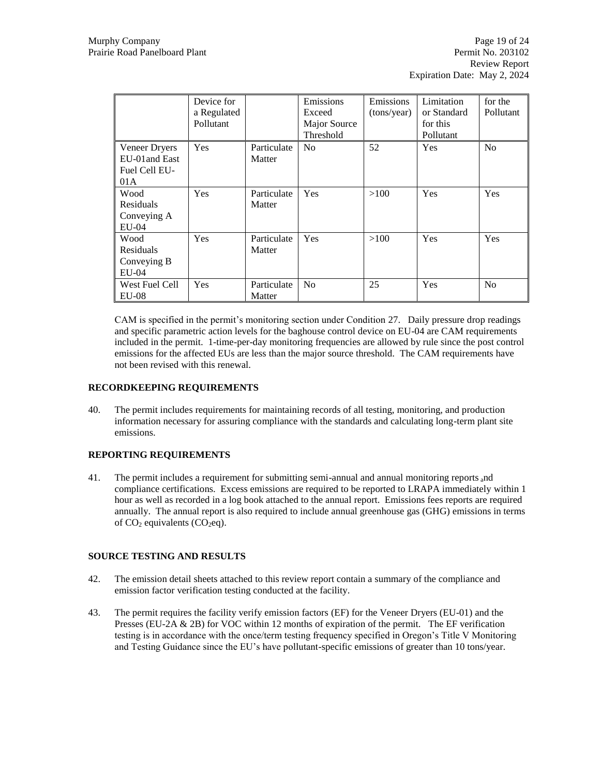|                                                         | Device for<br>a Regulated<br>Pollutant |                       | Emissions<br>Exceed<br>Major Source<br>Threshold | Emissions<br>(tons/year) | Limitation<br>or Standard<br>for this<br>Pollutant | for the<br>Pollutant |
|---------------------------------------------------------|----------------------------------------|-----------------------|--------------------------------------------------|--------------------------|----------------------------------------------------|----------------------|
| Veneer Dryers<br>EU-01 and East<br>Fuel Cell EU-<br>01A | <b>Yes</b>                             | Particulate<br>Matter | N <sub>0</sub>                                   | 52                       | <b>Yes</b>                                         | N <sub>o</sub>       |
| Wood<br>Residuals<br>Conveying A<br>$EU-04$             | Yes                                    | Particulate<br>Matter | Yes                                              | >100                     | Yes                                                | Yes                  |
| Wood<br>Residuals<br>Conveying B<br>$EU-04$             | Yes                                    | Particulate<br>Matter | Yes                                              | >100                     | Yes                                                | Yes                  |
| West Fuel Cell<br><b>EU-08</b>                          | Yes                                    | Particulate<br>Matter | N <sub>0</sub>                                   | 25                       | Yes                                                | No                   |

CAM is specified in the permit's monitoring section under Condition 27. Daily pressure drop readings and specific parametric action levels for the baghouse control device on EU-04 are CAM requirements included in the permit. 1-time-per-day monitoring frequencies are allowed by rule since the post control emissions for the affected EUs are less than the major source threshold. The CAM requirements have not been revised with this renewal.

### **RECORDKEEPING REQUIREMENTS**

40. The permit includes requirements for maintaining records of all testing, monitoring, and production information necessary for assuring compliance with the standards and calculating long-term plant site emissions.

### **REPORTING REQUIREMENTS**

41. The permit includes a requirement for submitting semi-annual and annual monitoring reports and compliance certifications. Excess emissions are required to be reported to LRAPA immediately within 1 hour as well as recorded in a log book attached to the annual report. Emissions fees reports are required annually. The annual report is also required to include annual greenhouse gas (GHG) emissions in terms of  $CO<sub>2</sub>$  equivalents ( $CO<sub>2</sub>$ eq).

#### **SOURCE TESTING AND RESULTS**

- 42. The emission detail sheets attached to this review report contain a summary of the compliance and emission factor verification testing conducted at the facility.
- 43. The permit requires the facility verify emission factors (EF) for the Veneer Dryers (EU-01) and the Presses (EU-2A & 2B) for VOC within 12 months of expiration of the permit. The EF verification testing is in accordance with the once/term testing frequency specified in Oregon's Title V Monitoring and Testing Guidance since the EU's have pollutant-specific emissions of greater than 10 tons/year.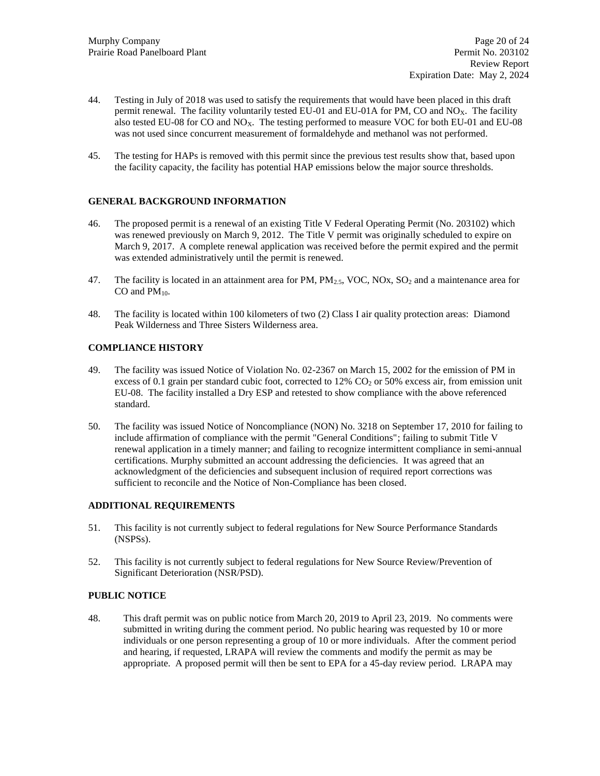- 44. Testing in July of 2018 was used to satisfy the requirements that would have been placed in this draft permit renewal. The facility voluntarily tested EU-01 and EU-01A for PM, CO and NO<sub>x</sub>. The facility also tested EU-08 for CO and NOX. The testing performed to measure VOC for both EU-01 and EU-08 was not used since concurrent measurement of formaldehyde and methanol was not performed.
- 45. The testing for HAPs is removed with this permit since the previous test results show that, based upon the facility capacity, the facility has potential HAP emissions below the major source thresholds.

#### **GENERAL BACKGROUND INFORMATION**

- 46. The proposed permit is a renewal of an existing Title V Federal Operating Permit (No. 203102) which was renewed previously on March 9, 2012. The Title V permit was originally scheduled to expire on March 9, 2017. A complete renewal application was received before the permit expired and the permit was extended administratively until the permit is renewed.
- 47. The facility is located in an attainment area for PM,  $PM_{2.5}$ , VOC, NOx, SO<sub>2</sub> and a maintenance area for  $CO$  and  $PM_{10}$ .
- 48. The facility is located within 100 kilometers of two (2) Class I air quality protection areas: Diamond Peak Wilderness and Three Sisters Wilderness area.

### **COMPLIANCE HISTORY**

- 49. The facility was issued Notice of Violation No. 02-2367 on March 15, 2002 for the emission of PM in excess of 0.1 grain per standard cubic foot, corrected to  $12\%$  CO<sub>2</sub> or 50% excess air, from emission unit EU-08. The facility installed a Dry ESP and retested to show compliance with the above referenced standard.
- 50. The facility was issued Notice of Noncompliance (NON) No. 3218 on September 17, 2010 for failing to include affirmation of compliance with the permit "General Conditions"; failing to submit Title V renewal application in a timely manner; and failing to recognize intermittent compliance in semi-annual certifications. Murphy submitted an account addressing the deficiencies. It was agreed that an acknowledgment of the deficiencies and subsequent inclusion of required report corrections was sufficient to reconcile and the Notice of Non-Compliance has been closed.

#### **ADDITIONAL REQUIREMENTS**

- 51. This facility is not currently subject to federal regulations for New Source Performance Standards (NSPSs).
- 52. This facility is not currently subject to federal regulations for New Source Review/Prevention of Significant Deterioration (NSR/PSD).

### **PUBLIC NOTICE**

48. This draft permit was on public notice from March 20, 2019 to April 23, 2019. No comments were submitted in writing during the comment period. No public hearing was requested by 10 or more individuals or one person representing a group of 10 or more individuals. After the comment period and hearing, if requested, LRAPA will review the comments and modify the permit as may be appropriate. A proposed permit will then be sent to EPA for a 45-day review period. LRAPA may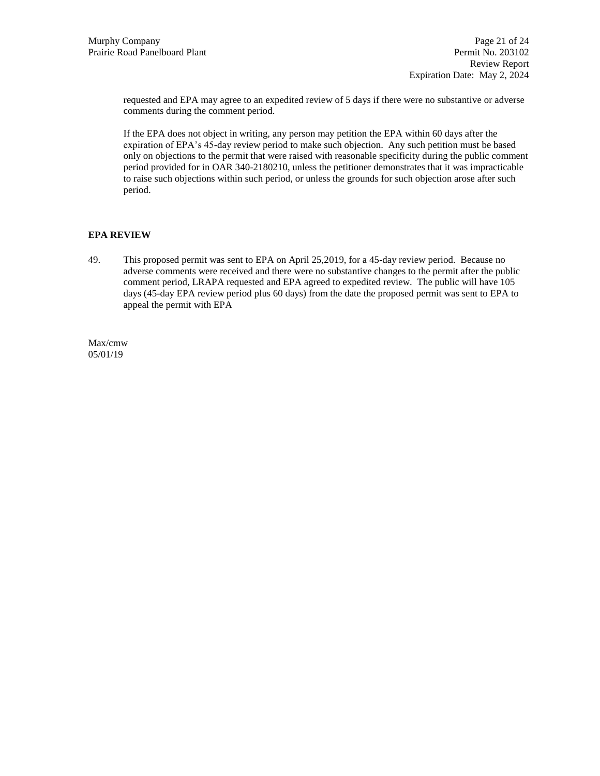requested and EPA may agree to an expedited review of 5 days if there were no substantive or adverse comments during the comment period.

If the EPA does not object in writing, any person may petition the EPA within 60 days after the expiration of EPA's 45-day review period to make such objection. Any such petition must be based only on objections to the permit that were raised with reasonable specificity during the public comment period provided for in OAR 340-2180210, unless the petitioner demonstrates that it was impracticable to raise such objections within such period, or unless the grounds for such objection arose after such period.

## **EPA REVIEW**

49. This proposed permit was sent to EPA on April 25,2019, for a 45-day review period. Because no adverse comments were received and there were no substantive changes to the permit after the public comment period, LRAPA requested and EPA agreed to expedited review. The public will have 105 days (45-day EPA review period plus 60 days) from the date the proposed permit was sent to EPA to appeal the permit with EPA

Max/cmw 05/01/19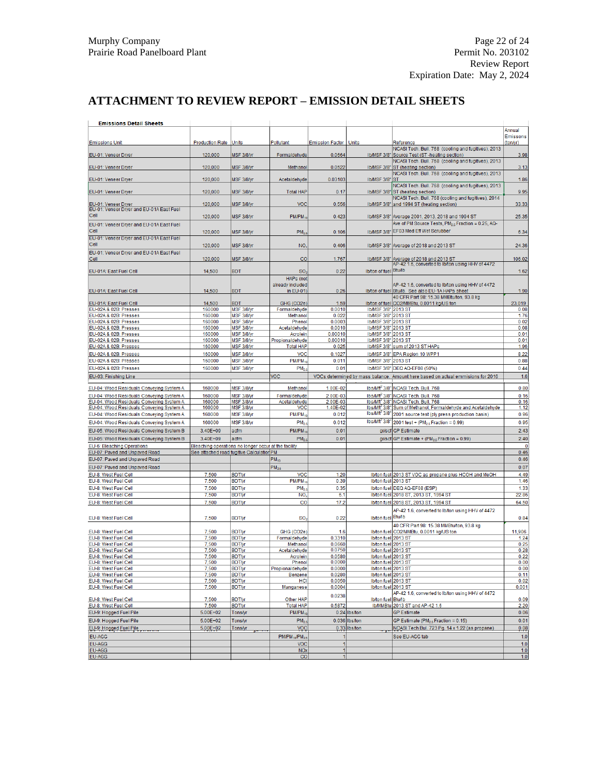# **ATTACHMENT TO REVIEW REPORT – EMISSION DETAIL SHEETS**

| <b>Emissions Detail Sheets</b>                                                       |                       |                                                      |                                     |                         |                                            |                                                                                                                   |                    |
|--------------------------------------------------------------------------------------|-----------------------|------------------------------------------------------|-------------------------------------|-------------------------|--------------------------------------------|-------------------------------------------------------------------------------------------------------------------|--------------------|
|                                                                                      |                       |                                                      |                                     |                         |                                            |                                                                                                                   | Annual<br>Emissons |
| <b>Emissions Unit</b>                                                                | Production Rate Units |                                                      | Pollutant                           | Emission Factor   Units |                                            | Reference                                                                                                         | (ton/yr)           |
| EU-01: Veneer Dryer                                                                  | 120,000               | MSF 3/8/yr                                           | Formaldehyde                        | 0.0664                  |                                            | NCASI Tech. Bull. 768 (cooling and fugitives), 2013<br>Ib/MSF 3/8" Source Test (ST-heating section)               | 3.98               |
|                                                                                      |                       |                                                      |                                     |                         |                                            | NCASI Tech. Bull. 768 (cooling and fugitives), 2013                                                               |                    |
| EU-01: Veneer Dryer                                                                  | 120,000               | MSF 3/8/yr                                           | Methanol                            | 0.0522                  |                                            | Ib/MSF 3/8" ST (heating section)<br>NCASI Tech. Bull. 768 (cooling and fugitives), 2013                           | 3.13               |
| EU-01: Veneer Dryer                                                                  | 120,000               | MSF 3/8/yr                                           | Acetaldehyde                        | 0.03103                 | <b>Ib/MSF 3/8" ST</b>                      | NCASI Tech. Bull. 768 (cooling and fugitives), 2013                                                               | 1.86               |
| EU-01: Veneer Dryer                                                                  | 120,000               | MSF 3/8/yr                                           | <b>Total HAP</b>                    | 0.17                    | <b>Ib/MSF 3/8"</b>                         | ST (heating section)                                                                                              | 9.95               |
| EU-01: Veneer Dryer                                                                  | 120,000               | MSF 3/8/yr                                           | <b>VOC</b>                          | 0.556                   |                                            | NCASI Tech. Bull. 768 (cooling and fugitives), 2014<br>Ib/MSF 3/8" and 1994 ST (heating section)                  | 33.33              |
| EU-01: Veneer Dryer and EU-01A East Fuel                                             |                       |                                                      |                                     |                         |                                            |                                                                                                                   |                    |
| Cell                                                                                 | 120,000               | MSF 3/8/yr                                           | PM/PM-                              | 0.423                   |                                            | Ib/MSF 3/8" Average 2001, 2013, 2018 and 1994 ST<br>Ave of PM Source Tests, PM <sub>25</sub> Fraction = 0.25, AQ- | 25.35              |
| EU-01: Veneer Dryer and EU-01A East Fuel<br>Cell                                     | 120,000               | MSF 3/8/yr                                           | PM <sub>2</sub>                     | 0.106                   | <b>Ib/MSF 3/8"</b>                         | EF03 Med Eff Wet Scrubber                                                                                         | 6.34               |
| EU-01: Veneer Dryer and EU-01A East Fuel                                             |                       |                                                      |                                     |                         |                                            |                                                                                                                   |                    |
| Cell<br>EU-01: Veneer Dryer and EU-01A East Fuel                                     | 120,000               | MSF 3/8/yr                                           | NO.                                 | 0.406                   |                                            | Ib/MSF 3/8" Average of 2018 and 2013 ST                                                                           | 24.36              |
| Cell                                                                                 | 120,000               | MSF 3/8/vr                                           | $_{\rm CO}$                         | 1.767                   |                                            | Ib/MSF 3/8" Average of 2018 and 2013 ST                                                                           | 106.02             |
| EU-01A: East Fuel Cell                                                               | 14,500                | <b>BDT</b>                                           | SO <sub>3</sub>                     | 0.22                    | Ib/ton of fuel Btu/Ib                      | AP-42 1.6, converted to Ib/ton using HHV of 4472                                                                  | 1.62               |
|                                                                                      |                       |                                                      | HAPs (not                           |                         |                                            |                                                                                                                   |                    |
|                                                                                      |                       |                                                      | already included                    |                         |                                            | AP-42 1.6, converted to Ib/ton using HHV of 4472                                                                  |                    |
| EU-01A: East Fuel Cell                                                               | 14,500                | <b>BDT</b>                                           | in EU-01)                           | 0.26                    |                                            | Ib/ton of fuel Btu/Ib. See also EU-1A HAPs sheet<br>40 CFR Part 98: 15.38 MMBtu/ton, 93.8 kg                      | 1.90               |
| EU-01A: East Fuel Cell                                                               | 14,500                | <b>BDT</b>                                           | GHG (CO2e)                          | 1.59                    |                                            | Ib/ton of fuel CO2/MMBtu, 0.0011 kg/US ton                                                                        | 23,019             |
| EU-02A & 02B: Presses<br>EU-02A & 02B: Presses                                       | 160000<br>160000      | MSF 3/8/yr                                           | Formaldehyde<br>Methanol            | 0.0010                  | Ib/MSF 3/8" 2013 ST<br>Ib/MSF 3/8" 2013 ST |                                                                                                                   | 0.08<br>1.76       |
| EU-02A & 02B: Presses                                                                | 160000                | MSF 3/8/yr<br>MSF 3/8/yr                             | Phenol                              | 0.022<br>0.0003         | <b>Ib/MSF 3/8"</b>                         | 2013 ST                                                                                                           | 0.02               |
| EU-02A & 02B: Presses                                                                | 160000                | MSF 3/8/yr                                           | Acetaldehyde                        | 0.0010                  | <b>Ib/MSF 3/8"</b>                         | 2013 ST                                                                                                           | 0.08               |
| EU-02A & 02B: Presses                                                                | 160000                | MSF 3/8/yr                                           | Acrolein                            | 0.00010                 | <b>Ib/MSF 3/8"</b>                         | 2013 ST                                                                                                           | 0.01               |
| EU-02A & 02B: Presses                                                                | 160000<br>160000      | MSF 3/8/vr<br>MSF 3/8/yr                             | Propionaldehyde<br><b>Total HAP</b> | 0.00010<br>0.025        | <b>Ib/MSF 3/8"</b><br><b>Ib/MSF 3/8"</b>   | 2013 ST<br>sum of 2013 ST HAPs                                                                                    | 0.01<br>1.96       |
| EU-02A & 02B: Presses                                                                | 160000                | MSF 3/8/yr                                           | VOC                                 | 0.1027                  | <b>Ib/MSF 3/8"</b>                         |                                                                                                                   | 8.22               |
| EU-02A & 02B: Presses<br>EU-02A & 02B: Presses                                       | 160000                | MSF 3/8/yr                                           | $PM/PM_1$                           | 0.011                   | <b>Ib/MSF 3/8"</b>                         | EPA Region 10 WPP1<br>2013 ST                                                                                     | 0.88               |
| EU-02A & 02B: Presses                                                                | 160000                | MSF 3/8/vr                                           | PM <sub>2</sub>                     | 0.01                    |                                            | Ib/MSF 3/8" DEQ AQ-EF08 (50%)                                                                                     | 0.44               |
| EU-03: Finishing Line                                                                |                       |                                                      | <b>VOC</b>                          |                         |                                            | VOCs determined by mass balance. Amount here based on actual emmisions for 2016                                   | 1.6                |
|                                                                                      |                       |                                                      |                                     |                         |                                            |                                                                                                                   |                    |
| EU-04: Wood Residuals Conveying System A                                             | 160000                | MSF 3/8/yr                                           | Methanol                            | 1.00E-02                |                                            | Ibs/Mft <sup>2</sup> 3/8" NCASI Tech. Bull. 768                                                                   | 0.80               |
| EU-04: Wood Residuals Conveying System A<br>EU-04: Wood Residuals Conveying System A | 160000<br>160000      | MSF 3/8/yr<br>MSF 3/8/yr                             | Formaldehyde<br>Acetaldehyde        | 2.00E-03<br>2.00E-03    |                                            | Ibs/Mft <sup>2</sup> 3/8" NCASI Tech. Bull. 768<br>Ibs/Mft <sup>2</sup> 3/8" NCASI Tech. Bull. 768                | 0.16<br>0.16       |
| EU-04: Wood Residuals Conveying System A                                             | 160000                | MSF 3/8/yr                                           | <b>VOC</b>                          | 1.40E-02                |                                            | lbs/Mft <sup>2</sup> 3/8" Sum of Methanol, Formaldehyde and Acetaldehyde                                          | 1.12               |
| EU-04: Wood Residuals Conveying System A                                             | 160000                | MSF 3/8/yr                                           | PM/PM-                              | 0.012                   | Ibs/Mft' 3/8"                              | 2001 source test (ply press production basis)                                                                     | 0.96               |
| EU-04: Wood Residuals Conveying System A                                             | 160000                | MSF 3/8/yr                                           | PM <sub>2</sub>                     | 0.012                   | $Ibs/Mft^2$ 3/8"                           | 2001 test + (PM <sub>25</sub> Fraction = $0.99$ )                                                                 | 0.95               |
| EU-05: Wood Residuals Conveying System B                                             | $3.40E + 09$          | acfm                                                 | PM/PM <sub>1</sub>                  | 0.01                    |                                            | gr/scf GP Estimate                                                                                                | 2.43               |
| EU-05: Wood Residuals Conveying System B                                             | 3.40E+09              | acfm                                                 | PM <sub>2</sub>                     | 0.01                    | gr/scf                                     | GP Estimate + (PM <sub>25</sub> Fraction = 0.99)                                                                  | 2.40               |
| EU-6: Bleaching Operations                                                           |                       | Bleaching operations no longer occur at the facility |                                     |                         |                                            |                                                                                                                   | $\mathbf 0$        |
| EU-07: Paved and Unpaved Road                                                        |                       | See attached road fugitive Calculation PM            |                                     |                         |                                            |                                                                                                                   | 0.46               |
| EU-07: Paved and Unpaved Road                                                        |                       |                                                      | $PM_{10}$                           |                         |                                            |                                                                                                                   | 0.46               |
| EU-07: Paved and Unpaved Road                                                        |                       |                                                      | PM <sub>2.5</sub>                   |                         |                                            |                                                                                                                   | 0.07               |
| EU-8: West Fuel Cell<br>EU-8: West Fuel Cell                                         | 7,500<br>7,500        | <b>BDT/yr</b><br><b>BDT/yr</b>                       | VOC<br>PM/PM <sub>1</sub>           | 1.20<br>0.39            | Ib/ton fuel 2013 ST                        | Ib/ton fuel 2013 ST VOC as propane plus HCOH and MeOH                                                             | 4.49<br>1.46       |
| EU-8: West Fuel Cell                                                                 | 7,500                 | <b>BDT/yr</b>                                        | PM <sub>2</sub>                     | 0.35                    |                                            | Ib/ton fuel DEQ AQ-EF08 (ESP)                                                                                     | 1.33               |
| EU-8: West Fuel Cell                                                                 | 7,500                 | <b>BDT/yr</b>                                        | N <sub>O</sub>                      | 6.1                     |                                            | Ib/ton fuel 2018 ST, 2013 ST, 1994 ST                                                                             | 22.86              |
| EU-8: West Fuel Cell                                                                 | 7.500                 | <b>BDT/yr</b>                                        | <sub>CO</sub>                       | 17.2                    |                                            | Ib/ton fuel 2018 ST, 2013 ST, 1994 ST                                                                             | 64.50              |
|                                                                                      |                       |                                                      |                                     |                         |                                            | AP-42 1.6, converted to Ib/ton using HHV of 4472                                                                  |                    |
| EU-8: West Fuel Cell                                                                 | 7,500                 | <b>BDT/yr</b>                                        | SO <sub>3</sub>                     | 0.22                    | Ib/ton fuel Btu/Ib                         |                                                                                                                   | 0.84               |
| EU-8: West Fuel Cell                                                                 | 7,500                 | <b>BDT/vr</b>                                        | GHG (CO2e)                          | 1.6                     |                                            | 40 CFR Part 98: 15.38 MMBtu/ton, 93.8 kg<br>Ib/ton fuel CO2/MMBtu, 0.0011 kg/US ton                               | 11,906             |
| EU-8: West Fuel Cell                                                                 | 7,500                 | <b>BDT/yr</b>                                        | Formaldehyde                        | 0.3310                  | Ib/ton fuel 2013 ST                        |                                                                                                                   | 1.24               |
| EU-8: West Fuel Cell                                                                 | 7,500                 | <b>BDT/yr</b>                                        | Methanol                            | 0.0660                  | Ib/ton fuel 2013 ST                        |                                                                                                                   | 0.25               |
| EU-8: West Fuel Cell                                                                 | 7,500                 | <b>BDT/yr</b>                                        | Acetaldehyde                        | 0.0750                  | Ib/ton fuel 2013 ST                        |                                                                                                                   | 0.28               |
| EU-8: West Fuel Cell<br>EU-8: West Fuel Cell                                         | 7,500<br>7,500        | <b>BDT/yr</b><br><b>BDT/yr</b>                       | Acrolein<br>Phenol                  | 0.0580<br>0.0000        | Ib/ton fuel 2013 ST<br>Ib/ton fuel 2013 ST |                                                                                                                   | 0.22<br>0.00       |
| EU-8: West Fuel Cell                                                                 | 7,500                 | <b>BDT/yr</b>                                        | Propionaldehyde                     | 0.0000                  | Ib/ton fuel 2013 ST                        |                                                                                                                   | 0.00               |
| EU-8: West Fuel Cell                                                                 | 7,500                 | <b>BDT/yr</b>                                        | <b>Benzene</b>                      | 0.0280                  | Ib/ton fuel 2013 ST                        |                                                                                                                   | 0.11               |
| EU-8: West Fuel Cell                                                                 | 7,500                 | <b>BDT/yr</b>                                        | <b>HCI</b>                          | 0.0050                  | Ib/ton fuel 2013 ST                        |                                                                                                                   | 0.02               |
| EU-8: West Fuel Cell                                                                 | 7,500                 | <b>BDT/yr</b>                                        | Manganese                           | 0.0004                  | Ib/ton fuel 2013 ST                        | AP-42 1.6, converted to Ib/ton using HHV of 4472                                                                  | 0.001              |
| EU-8: West Fuel Cell                                                                 | 7,500                 | <b>BDT/yr</b>                                        | Other HAP                           | 0.0238                  | Ib/ton fuel Btu/Ib                         |                                                                                                                   | 0.09               |
| EU-8: West Fuel Cell                                                                 | 7,500                 | <b>BDT/yr</b>                                        | <b>Total HAP</b>                    | 0.5872                  |                                            | Ib/MMBtu 2013 ST and AP-42 1.6                                                                                    | 2.20               |
| EU-9: Hogged Fuel Pile                                                               | $5.00E + 02$          | Tons/yr                                              | $PM/PM_1$                           |                         | 0.24 Ibs/ton                               | <b>GP Estimate</b>                                                                                                | 0.06               |
| EU-9: Hogged Fuel Pile                                                               | $5.00E + 02$          | Tons/yr                                              | PM <sub>2</sub>                     |                         | $0.036$ Ibs/ton                            | GP Estimate (PM <sub>2.5</sub> Fraction = $0.15$ )                                                                | 0.01               |
| EU-9: Hogged Fuel Pile                                                               | $5.00E + 02$          | Tons/yr                                              | <b>VOC</b>                          |                         | $0.33$ Ibs/ton                             | NCASI Tech Bul. 723 Pg. 14 x 1.22 (as propane)                                                                    | 0.08               |
| <b>EU-AGG</b>                                                                        |                       |                                                      | $PM/PM_{10}/PM_{23}$                |                         |                                            | See EU-AGG tab                                                                                                    | 1.0                |
| EU-AGG                                                                               |                       |                                                      | voc                                 |                         |                                            |                                                                                                                   | 1.0                |
| EU-AGG<br>EU-AGG                                                                     |                       |                                                      | <b>NOx</b>                          |                         |                                            |                                                                                                                   | 1.0<br>1.0         |
|                                                                                      |                       |                                                      | $\overline{c}$                      |                         |                                            |                                                                                                                   |                    |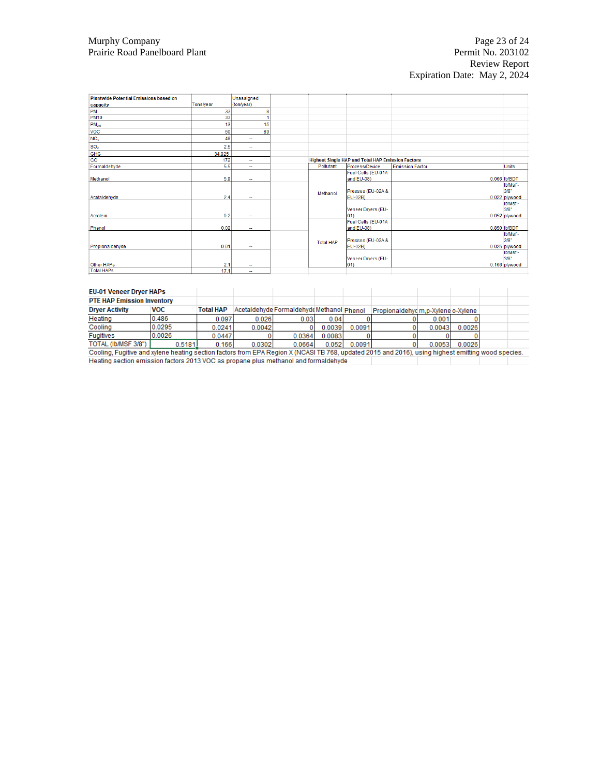| <b>Plantwide Potential Emissions based on</b> |           | Unassigned               |  |                  |                                                          |                        |               |
|-----------------------------------------------|-----------|--------------------------|--|------------------|----------------------------------------------------------|------------------------|---------------|
| capacity                                      | Tons/year | (ton/year)               |  |                  |                                                          |                        |               |
| PM                                            | 33        | 8                        |  |                  |                                                          |                        |               |
| <b>PM10</b>                                   | 33        |                          |  |                  |                                                          |                        |               |
|                                               | 13        | 15                       |  |                  |                                                          |                        |               |
| PM <sub>2.5</sub>                             |           |                          |  |                  |                                                          |                        |               |
| <b>VOC</b>                                    | 50        | 89                       |  |                  |                                                          |                        |               |
| NO <sub>x</sub>                               | 48        | $\overline{\phantom{a}}$ |  |                  |                                                          |                        |               |
| SO <sub>2</sub>                               | 2.5       | $\sim$                   |  |                  |                                                          |                        |               |
| <b>GHG</b>                                    | 34,925    |                          |  |                  |                                                          |                        |               |
| $\overline{co}$                               | 172       | $\sim$                   |  |                  | <b>Highest Single HAP and Total HAP Emission Factors</b> |                        |               |
| Formaldehyde                                  | 5.5       | $\sim$                   |  | Pollutant        | Process/Device                                           | <b>Emission Factor</b> | <b>Units</b>  |
|                                               |           |                          |  |                  | Fuel Cells (EU-01A                                       |                        |               |
| Methanol                                      | 5.9       | $\sim$                   |  |                  | and EU-08)                                               |                        | 0.066 Ib/BDT  |
|                                               |           |                          |  |                  |                                                          |                        | Ib/Msf-       |
|                                               |           |                          |  | Methanol         | Presses (EU-02A &                                        |                        | 3/8"          |
| Acetaldehyde                                  | 2.4       | $\overline{\phantom{a}}$ |  |                  | EU-02B)                                                  |                        | 0.022 plywood |
|                                               |           |                          |  |                  |                                                          |                        | Ib/Msf-       |
|                                               |           |                          |  |                  | Veneer Dryers (EU-                                       |                        | 3/8"          |
| Acrolein                                      | 0.2       | $\sim$                   |  |                  | $ 01\rangle$                                             |                        | 0.052 plywood |
|                                               |           |                          |  |                  | Fuel Cells (EU-01A                                       |                        |               |
| Phenol                                        | 0.02      |                          |  |                  | and EU-08)                                               |                        | 0.850 Ib/BDT  |
|                                               |           |                          |  |                  |                                                          |                        | Ib/Msf-       |
|                                               |           |                          |  | <b>Total HAP</b> | Presses (EU-02A &                                        |                        | 3/8"          |
| Propionaldehyde                               | 0.01      | $\sim$                   |  | EU-02B)          |                                                          | 0.025 plywood          |               |
|                                               |           |                          |  |                  |                                                          | Ib/Msf-                |               |
|                                               |           |                          |  |                  | Veneer Dryers (EU-                                       |                        | 3/8"          |
| Other HAPs                                    | 2.1       | ۰.                       |  |                  | $ 01\rangle$                                             |                        | 0.166 plywood |
| <b>Total HAPs</b>                             | 17.1      | ۰.                       |  |                  |                                                          |                        |               |

| <b>EU-01 Veneer Dryer HAPs</b>                                                                                                                     |            |                  |        |                                           |        |        |                                    |        |        |  |
|----------------------------------------------------------------------------------------------------------------------------------------------------|------------|------------------|--------|-------------------------------------------|--------|--------|------------------------------------|--------|--------|--|
| <b>PTE HAP Emission Inventory</b>                                                                                                                  |            |                  |        |                                           |        |        |                                    |        |        |  |
| <b>Drver Activity</b>                                                                                                                              | <b>VOC</b> | <b>Total HAP</b> |        | Acetaldehyde Formaldehyde Methanol Phenol |        |        | Propionaldehyd m.p-Xylene o-Xylene |        |        |  |
| Heating                                                                                                                                            | 0.486      | 0.097            | 0.026  | 0.03                                      | 0.04   |        |                                    | 0.001  |        |  |
| Cooling                                                                                                                                            | 0.0295     | 0.0241           | 0.0042 |                                           | 0.0039 | 0.0091 |                                    | 0.0043 | 0.0026 |  |
| <b>Fugitives</b>                                                                                                                                   | 0.0026     | 0.0447           |        | 0.0364                                    | 0.0083 |        |                                    |        |        |  |
| TOTAL (Ib/MSF 3/8")                                                                                                                                | 0.5181     | 0.166            | 0.0302 | 0.0664                                    | 0.052  | 0.0091 |                                    | 0.0053 | 0.0026 |  |
| Cooling, Fugitive and xylene heating section factors from EPA Region X (NCASI TB 768, updated 2015 and 2016), using highest emitting wood species. |            |                  |        |                                           |        |        |                                    |        |        |  |
| Heating section emission factors 2013 VOC as propane plus methanol and formaldehyde                                                                |            |                  |        |                                           |        |        |                                    |        |        |  |